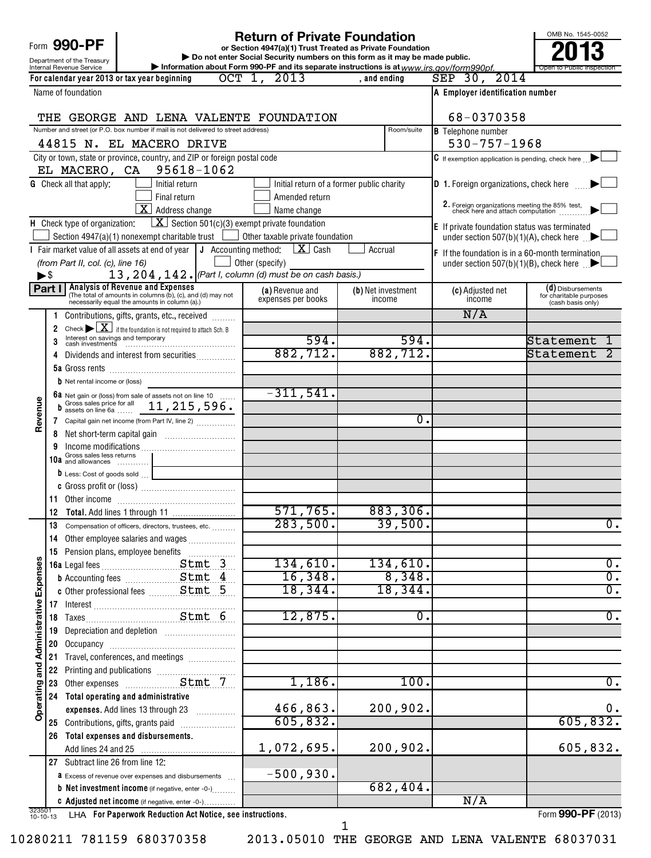| <b>Return of Private Foundation</b>                                                                                                                     |        |                                                        |                                                                                                                                                        |                                                                                                                      |                                                                                          | OMB No. 1545-0052 |                    |                                                                                                |                                              |
|---------------------------------------------------------------------------------------------------------------------------------------------------------|--------|--------------------------------------------------------|--------------------------------------------------------------------------------------------------------------------------------------------------------|----------------------------------------------------------------------------------------------------------------------|------------------------------------------------------------------------------------------|-------------------|--------------------|------------------------------------------------------------------------------------------------|----------------------------------------------|
| Form 990-PF<br>or Section 4947(a)(1) Trust Treated as Private Foundation<br>Do not enter Social Security numbers on this form as it may be made public. |        |                                                        |                                                                                                                                                        |                                                                                                                      |                                                                                          |                   |                    |                                                                                                |                                              |
|                                                                                                                                                         |        | Department of the Treasury<br>Internal Revenue Service |                                                                                                                                                        |                                                                                                                      | Information about Form 990-PF and its separate instructions is at www.irs.gov/form990pf. |                   |                    |                                                                                                | Open to Public                               |
|                                                                                                                                                         |        |                                                        | For calendar year 2013 or tax year beginning                                                                                                           |                                                                                                                      | $OCT$ 1,<br>2013                                                                         | , and ending      |                    | SEP 30, 2014                                                                                   |                                              |
|                                                                                                                                                         |        | Name of foundation                                     |                                                                                                                                                        |                                                                                                                      |                                                                                          |                   |                    | A Employer identification number                                                               |                                              |
|                                                                                                                                                         |        |                                                        |                                                                                                                                                        |                                                                                                                      |                                                                                          |                   |                    |                                                                                                |                                              |
|                                                                                                                                                         |        |                                                        |                                                                                                                                                        |                                                                                                                      | THE GEORGE AND LENA VALENTE FOUNDATION                                                   |                   |                    | 68-0370358                                                                                     |                                              |
|                                                                                                                                                         |        |                                                        | Number and street (or P.O. box number if mail is not delivered to street address)                                                                      |                                                                                                                      |                                                                                          |                   | Room/suite         | <b>B</b> Telephone number                                                                      |                                              |
|                                                                                                                                                         |        |                                                        | 44815 N. EL MACERO DRIVE                                                                                                                               |                                                                                                                      |                                                                                          |                   |                    | $530 - 757 - 1968$                                                                             |                                              |
|                                                                                                                                                         |        |                                                        | City or town, state or province, country, and ZIP or foreign postal code<br>EL MACERO, CA 95618-1062                                                   |                                                                                                                      |                                                                                          |                   |                    | C If exemption application is pending, check here                                              |                                              |
|                                                                                                                                                         |        | <b>G</b> Check all that apply:                         | Initial return                                                                                                                                         |                                                                                                                      | Initial return of a former public charity                                                |                   |                    | <b>D</b> 1. Foreign organizations, check here                                                  |                                              |
|                                                                                                                                                         |        |                                                        | Final return                                                                                                                                           |                                                                                                                      | Amended return                                                                           |                   |                    |                                                                                                |                                              |
|                                                                                                                                                         |        |                                                        | X Address change                                                                                                                                       |                                                                                                                      | Name change                                                                              |                   |                    | 2. Foreign organizations meeting the 85% test, check here and attach computation               |                                              |
|                                                                                                                                                         |        | H Check type of organization:                          |                                                                                                                                                        |                                                                                                                      | $\boxed{\textbf{X}}$ Section 501(c)(3) exempt private foundation                         |                   |                    |                                                                                                |                                              |
|                                                                                                                                                         |        |                                                        | Section $4947(a)(1)$ nonexempt charitable trust                                                                                                        |                                                                                                                      | Other taxable private foundation                                                         |                   |                    | E If private foundation status was terminated<br>under section 507(b)(1)(A), check here $\Box$ |                                              |
|                                                                                                                                                         |        |                                                        | I Fair market value of all assets at end of year                                                                                                       | J Accounting method:                                                                                                 | $\lfloor x \rfloor$ Cash                                                                 | Accrual           |                    | F If the foundation is in a 60-month termination                                               |                                              |
|                                                                                                                                                         |        | (from Part II, col. (c), line 16)                      |                                                                                                                                                        |                                                                                                                      | Other (specify)                                                                          |                   |                    | under section 507(b)(1)(B), check here $\mathbb{R}$                                            |                                              |
| $\blacktriangleright$ \$                                                                                                                                |        |                                                        |                                                                                                                                                        |                                                                                                                      | 13, 204, 142. (Part I, column (d) must be on cash basis.)                                |                   |                    |                                                                                                |                                              |
|                                                                                                                                                         | Part I |                                                        | <b>Analysis of Revenue and Expenses</b><br>(The total of amounts in columns (b), (c), and (d) may not<br>necessarily equal the amounts in column (a).) |                                                                                                                      | (a) Revenue and                                                                          |                   | (b) Net investment | (c) Adjusted net                                                                               | (d) Disbursements<br>for charitable purposes |
|                                                                                                                                                         |        |                                                        |                                                                                                                                                        |                                                                                                                      | expenses per books                                                                       |                   | income             | income                                                                                         | (cash basis only)                            |
|                                                                                                                                                         |        |                                                        | Contributions, gifts, grants, etc., received                                                                                                           |                                                                                                                      |                                                                                          |                   |                    | N/A                                                                                            |                                              |
|                                                                                                                                                         | 2      |                                                        | Check $\blacktriangleright \lfloor \underline{X} \rfloor$ if the foundation is not required to attach Sch. B                                           |                                                                                                                      |                                                                                          |                   |                    |                                                                                                |                                              |
|                                                                                                                                                         |        |                                                        | Interest on savings and temporary<br>cash investments                                                                                                  |                                                                                                                      | 594.                                                                                     |                   | 594.               |                                                                                                | Statement                                    |
|                                                                                                                                                         | 4      |                                                        | Dividends and interest from securities                                                                                                                 |                                                                                                                      | 882, 712.                                                                                |                   | 882, 712.          |                                                                                                | Statement                                    |
|                                                                                                                                                         |        |                                                        |                                                                                                                                                        |                                                                                                                      |                                                                                          |                   |                    |                                                                                                |                                              |
|                                                                                                                                                         |        | $b$ Net rental income or (loss)                        |                                                                                                                                                        |                                                                                                                      | $-311,541.$                                                                              |                   |                    |                                                                                                |                                              |
|                                                                                                                                                         |        |                                                        | 6a Net gain or (loss) from sale of assets not on line 10<br>b assets on line 6a  11, 215, 596.                                                         |                                                                                                                      |                                                                                          |                   |                    |                                                                                                |                                              |
| Revenue                                                                                                                                                 |        |                                                        | 7 Capital gain net income (from Part IV, line 2)                                                                                                       |                                                                                                                      |                                                                                          |                   | 0                  |                                                                                                |                                              |
|                                                                                                                                                         | 8      |                                                        |                                                                                                                                                        |                                                                                                                      |                                                                                          |                   |                    |                                                                                                |                                              |
|                                                                                                                                                         | 9      |                                                        |                                                                                                                                                        |                                                                                                                      |                                                                                          |                   |                    |                                                                                                |                                              |
|                                                                                                                                                         | 10a    | Gross sales less returns<br>and allowances             |                                                                                                                                                        |                                                                                                                      |                                                                                          |                   |                    |                                                                                                |                                              |
|                                                                                                                                                         |        | $\mathbf b$ Less: Cost of goods sold                   |                                                                                                                                                        |                                                                                                                      |                                                                                          |                   |                    |                                                                                                |                                              |
|                                                                                                                                                         |        |                                                        |                                                                                                                                                        |                                                                                                                      |                                                                                          |                   |                    |                                                                                                |                                              |
|                                                                                                                                                         | 11     |                                                        |                                                                                                                                                        |                                                                                                                      |                                                                                          |                   |                    |                                                                                                |                                              |
|                                                                                                                                                         |        |                                                        |                                                                                                                                                        |                                                                                                                      | 571,765.                                                                                 |                   | 883, 306.          |                                                                                                |                                              |
|                                                                                                                                                         | 13     |                                                        | Compensation of officers, directors, trustees, etc.                                                                                                    |                                                                                                                      | 283,500.                                                                                 |                   | 39,500.            |                                                                                                | $\overline{0}$ .                             |
|                                                                                                                                                         | 14     |                                                        | Other employee salaries and wages                                                                                                                      |                                                                                                                      |                                                                                          |                   |                    |                                                                                                |                                              |
|                                                                                                                                                         | 15     |                                                        | Pension plans, employee benefits                                                                                                                       |                                                                                                                      | 134,610.                                                                                 |                   | 134,610.           |                                                                                                | $\overline{0}$ .                             |
| Expenses                                                                                                                                                |        |                                                        | <b>b</b> Accounting fees <b>Example 2</b>                                                                                                              |                                                                                                                      | 16,348.                                                                                  |                   | 8,348.             |                                                                                                | $\overline{\mathfrak{o}}$ .                  |
|                                                                                                                                                         |        |                                                        |                                                                                                                                                        |                                                                                                                      | 18,344.                                                                                  |                   | 18,344.            |                                                                                                | $\overline{\mathfrak{o}}$ .                  |
|                                                                                                                                                         | 17     |                                                        |                                                                                                                                                        |                                                                                                                      |                                                                                          |                   |                    |                                                                                                |                                              |
| and Administrative                                                                                                                                      | 18     |                                                        |                                                                                                                                                        |                                                                                                                      | 12,875.                                                                                  |                   | 0.                 |                                                                                                | $\overline{\mathfrak{o}}$ .                  |
|                                                                                                                                                         | 19     |                                                        |                                                                                                                                                        |                                                                                                                      |                                                                                          |                   |                    |                                                                                                |                                              |
|                                                                                                                                                         | 20     |                                                        |                                                                                                                                                        |                                                                                                                      |                                                                                          |                   |                    |                                                                                                |                                              |
|                                                                                                                                                         | 21     |                                                        | Travel, conferences, and meetings                                                                                                                      |                                                                                                                      |                                                                                          |                   |                    |                                                                                                |                                              |
|                                                                                                                                                         | 22     |                                                        |                                                                                                                                                        |                                                                                                                      |                                                                                          |                   |                    |                                                                                                |                                              |
|                                                                                                                                                         | 23     |                                                        |                                                                                                                                                        |                                                                                                                      | 1,186.                                                                                   |                   | 100.               |                                                                                                | $\overline{0}$ .                             |
|                                                                                                                                                         | 24     |                                                        | Total operating and administrative                                                                                                                     |                                                                                                                      |                                                                                          |                   |                    |                                                                                                |                                              |
| Operating                                                                                                                                               |        |                                                        | expenses. Add lines 13 through 23                                                                                                                      |                                                                                                                      | 466,863.                                                                                 |                   | 200,902.           |                                                                                                | 0.                                           |
|                                                                                                                                                         | 25     |                                                        | Contributions, gifts, grants paid                                                                                                                      | and a complete the complete of the second service of the service of the service of the service of the service of the | 605,832.                                                                                 |                   |                    |                                                                                                | 605,832.                                     |
|                                                                                                                                                         | 26     |                                                        | Total expenses and disbursements.                                                                                                                      |                                                                                                                      |                                                                                          |                   |                    |                                                                                                |                                              |
|                                                                                                                                                         |        |                                                        |                                                                                                                                                        |                                                                                                                      | 1,072,695.                                                                               |                   | 200,902.           |                                                                                                | 605,832.                                     |
|                                                                                                                                                         | 27     | Subtract line 26 from line 12:                         |                                                                                                                                                        |                                                                                                                      | $-500,930.$                                                                              |                   |                    |                                                                                                |                                              |
|                                                                                                                                                         |        |                                                        | <b>a</b> Excess of revenue over expenses and disbursements<br><b>b</b> Net investment income (if negative, enter -0-)                                  |                                                                                                                      |                                                                                          |                   | 682,404.           |                                                                                                |                                              |
|                                                                                                                                                         |        |                                                        | C Adjusted net income (if negative, enter -0-)                                                                                                         |                                                                                                                      |                                                                                          |                   |                    | N/A                                                                                            |                                              |
| 323501<br>10-10-13                                                                                                                                      |        |                                                        | LHA For Paperwork Reduction Act Notice, see instructions.                                                                                              |                                                                                                                      |                                                                                          |                   |                    |                                                                                                | Form 990-PF (2013)                           |

10280211 781159 680370358 2013.05010 THE GEORGE AND LENA VALENTE 68037031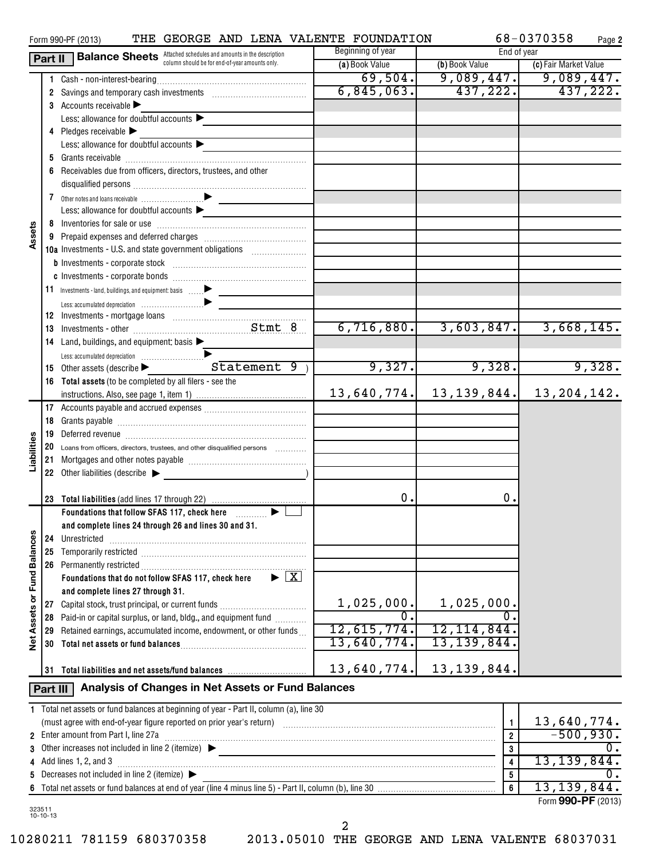|                   |                | THE GEORGE AND LENA VALENTE FOUNDATION<br>Form 990-PF (2013)                                    |                   |                         | 68-0370358<br>Page 2               |
|-------------------|----------------|-------------------------------------------------------------------------------------------------|-------------------|-------------------------|------------------------------------|
|                   |                | <b>Part II</b> Balance Sheets Attached schedules and amounts in the description                 | Beginning of year | End of year             |                                    |
|                   |                | column should be for end-of-year amounts only.                                                  | (a) Book Value    | (b) Book Value          | (c) Fair Market Value              |
|                   |                |                                                                                                 | 69,504.           |                         | $\overline{9,089,447.}$ 9,089,447. |
|                   |                | 2 Savings and temporary cash investments [111][11] Savings and temporary cash investments       | 6,845,063.        | 437,222.                | 437,222.                           |
|                   |                | 3 Accounts receivable $\blacktriangleright$                                                     |                   |                         |                                    |
|                   |                | Less: allowance for doubtful accounts $\blacktriangleright$                                     |                   |                         |                                    |
|                   |                | 4 Pledges receivable $\blacktriangleright$                                                      |                   |                         |                                    |
|                   |                | Less: allowance for doubtful accounts                                                           |                   |                         |                                    |
|                   |                |                                                                                                 |                   |                         |                                    |
|                   |                | 6 Receivables due from officers, directors, trustees, and other                                 |                   |                         |                                    |
|                   |                |                                                                                                 |                   |                         |                                    |
|                   |                |                                                                                                 |                   |                         |                                    |
|                   |                | Less: allowance for doubtful accounts $\blacktriangleright$                                     |                   |                         |                                    |
|                   |                |                                                                                                 |                   |                         |                                    |
| Assets            |                |                                                                                                 |                   |                         |                                    |
|                   |                | 10a Investments - U.S. and state government obligations [                                       |                   |                         |                                    |
|                   |                |                                                                                                 |                   |                         |                                    |
|                   |                |                                                                                                 |                   |                         |                                    |
|                   |                |                                                                                                 |                   |                         |                                    |
|                   |                |                                                                                                 |                   |                         |                                    |
|                   |                |                                                                                                 |                   |                         |                                    |
|                   |                |                                                                                                 | 6,716,880.        | 3,603,847.              | 3,668,145.                         |
|                   |                | 14 Land, buildings, and equipment: basis >                                                      |                   |                         |                                    |
|                   |                |                                                                                                 |                   |                         |                                    |
|                   |                | Statement 9)                                                                                    | 9,327.            | 9,328.                  | 9,328.                             |
|                   |                | 15 Other assets (describe $\blacktriangleright$                                                 |                   |                         |                                    |
|                   |                | 16 Total assets (to be completed by all filers - see the                                        |                   |                         |                                    |
|                   |                |                                                                                                 | 13,640,774.       |                         | $13, 139, 844.$ 13, 204, 142.      |
|                   |                |                                                                                                 |                   |                         |                                    |
|                   |                |                                                                                                 |                   |                         |                                    |
|                   |                |                                                                                                 |                   |                         |                                    |
| Liabilities       |                | 20 Loans from officers, directors, trustees, and other disqualified persons                     |                   |                         |                                    |
|                   |                |                                                                                                 |                   |                         |                                    |
|                   |                | 22 Other liabilities (describe                                                                  |                   |                         |                                    |
|                   |                |                                                                                                 |                   |                         |                                    |
|                   |                |                                                                                                 | 0.                | 0.                      |                                    |
|                   |                | Foundations that follow SFAS 117, check here <i>[[[[[[[[[[[[]]</i> ]                            |                   |                         |                                    |
|                   |                | and complete lines 24 through 26 and lines 30 and 31.                                           |                   |                         |                                    |
|                   |                | 24 Unrestricted                                                                                 |                   |                         |                                    |
|                   | 25             |                                                                                                 |                   |                         |                                    |
|                   |                | 26 Permanently restricted                                                                       |                   |                         |                                    |
|                   |                | $\blacktriangleright \boxed{\mathbf{X}}$<br>Foundations that do not follow SFAS 117, check here |                   |                         |                                    |
| or Fund Balances  |                | and complete lines 27 through 31.                                                               |                   |                         |                                    |
|                   |                | 27 Capital stock, trust principal, or current funds                                             | 1,025,000.        | 1,025,000.              |                                    |
| <b>Net Assets</b> |                | 28 Paid-in or capital surplus, or land, bldg., and equipment fund                               | 0.                | Ο.                      |                                    |
|                   |                | 29 Retained earnings, accumulated income, endowment, or other funds                             | 12,615,774.       | 12, 114, 844.           |                                    |
|                   | 30             |                                                                                                 | 13,640,774.       | 13, 139, 844.           |                                    |
|                   |                |                                                                                                 |                   |                         |                                    |
|                   | 31             | Total liabilities and net assets/fund balances                                                  | 13,640,774.       | 13, 139, 844.           |                                    |
|                   | Part III       | Analysis of Changes in Net Assets or Fund Balances                                              |                   |                         |                                    |
|                   |                |                                                                                                 |                   |                         |                                    |
|                   |                | 1 Total net assets or fund balances at beginning of year - Part II, column (a), line 30         |                   |                         |                                    |
|                   |                |                                                                                                 |                   | $\mathbf{1}$            | 13,640,774.                        |
|                   |                | 2 Enter amount from Part I, line 27a                                                            |                   | $\overline{2}$          | $-500,930.$                        |
|                   |                | 3 Other increases not included in line 2 (itemize) $\blacktriangleright$                        |                   | $\bf{3}$                | 0.                                 |
|                   |                | 4 Add lines 1, 2, and 3                                                                         |                   | $\overline{\mathbf{4}}$ | 13, 139, 844.                      |
| 5                 |                | Decreases not included in line 2 (itemize) ▶                                                    |                   | 5                       | 0.                                 |
| 6                 |                |                                                                                                 |                   | $6\phantom{a}$          | 13, 139, 844.                      |
| 323511            |                |                                                                                                 |                   |                         | Form 990-PF (2013)                 |
|                   | $10 - 10 - 13$ |                                                                                                 |                   |                         |                                    |

2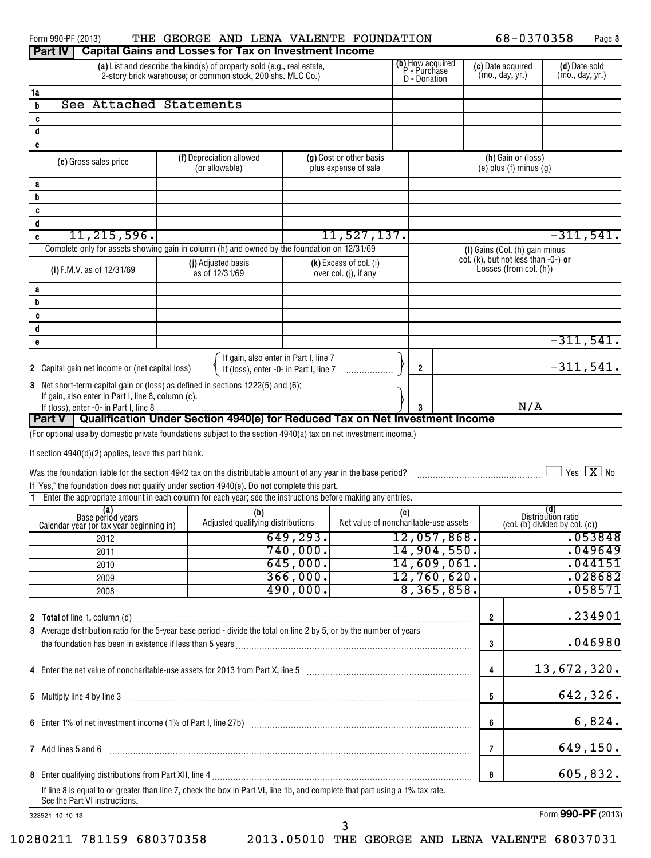| Form 990-PF (2013)<br><b>Part IV</b>                                                                                                                                  |  | THE GEORGE AND LENA VALENTE FOUNDATION<br><b>Capital Gains and Losses for Tax on Investment Income</b> |                      |                                                 |     |                                                  |                 | 68-0370358                                                                  |                           | Page 3                 |
|-----------------------------------------------------------------------------------------------------------------------------------------------------------------------|--|--------------------------------------------------------------------------------------------------------|----------------------|-------------------------------------------------|-----|--------------------------------------------------|-----------------|-----------------------------------------------------------------------------|---------------------------|------------------------|
|                                                                                                                                                                       |  | (a) List and describe the kind(s) of property sold (e.g., real estate,                                 |                      |                                                 |     | (b) How acquired<br>P - Purchase<br>D - Donation |                 | (c) Date acquired                                                           |                           | (d) Date sold          |
| 2-story brick warehouse; or common stock, 200 shs. MLC Co.)                                                                                                           |  |                                                                                                        |                      |                                                 |     |                                                  | (mo., day, yr.) |                                                                             | (mo., day, yr.)           |                        |
| 1a                                                                                                                                                                    |  |                                                                                                        |                      |                                                 |     |                                                  |                 |                                                                             |                           |                        |
| See Attached Statements<br>b                                                                                                                                          |  |                                                                                                        |                      |                                                 |     |                                                  |                 |                                                                             |                           |                        |
| C                                                                                                                                                                     |  |                                                                                                        |                      |                                                 |     |                                                  |                 |                                                                             |                           |                        |
| d<br>e                                                                                                                                                                |  |                                                                                                        |                      |                                                 |     |                                                  |                 |                                                                             |                           |                        |
| (e) Gross sales price                                                                                                                                                 |  | (f) Depreciation allowed<br>(or allowable)                                                             |                      | (g) Cost or other basis<br>plus expense of sale |     |                                                  |                 | (h) Gain or (loss)<br>$(e)$ plus $(f)$ minus $(g)$                          |                           |                        |
| a                                                                                                                                                                     |  |                                                                                                        |                      |                                                 |     |                                                  |                 |                                                                             |                           |                        |
| b                                                                                                                                                                     |  |                                                                                                        |                      |                                                 |     |                                                  |                 |                                                                             |                           |                        |
| C                                                                                                                                                                     |  |                                                                                                        |                      |                                                 |     |                                                  |                 |                                                                             |                           |                        |
| d                                                                                                                                                                     |  |                                                                                                        |                      |                                                 |     |                                                  |                 |                                                                             |                           |                        |
| 11,215,596.<br>e                                                                                                                                                      |  |                                                                                                        |                      | 11,527,137.                                     |     |                                                  |                 |                                                                             |                           | $-311,541.$            |
| Complete only for assets showing gain in column (h) and owned by the foundation on 12/31/69                                                                           |  |                                                                                                        |                      |                                                 |     |                                                  |                 | (I) Gains (Col. (h) gain minus<br>col. $(k)$ , but not less than $-0$ -) or |                           |                        |
| (i) F.M.V. as of 12/31/69                                                                                                                                             |  | (j) Adjusted basis<br>as of 12/31/69                                                                   |                      | (k) Excess of col. (i)<br>over col. (j), if any |     |                                                  |                 | Losses (from col. (h))                                                      |                           |                        |
| a                                                                                                                                                                     |  |                                                                                                        |                      |                                                 |     |                                                  |                 |                                                                             |                           |                        |
| b                                                                                                                                                                     |  |                                                                                                        |                      |                                                 |     |                                                  |                 |                                                                             |                           |                        |
| C                                                                                                                                                                     |  |                                                                                                        |                      |                                                 |     |                                                  |                 |                                                                             |                           |                        |
| d                                                                                                                                                                     |  |                                                                                                        |                      |                                                 |     |                                                  |                 |                                                                             |                           | $-311,541.$            |
| е                                                                                                                                                                     |  |                                                                                                        |                      |                                                 |     |                                                  |                 |                                                                             |                           |                        |
| 2 Capital gain net income or (net capital loss)                                                                                                                       |  | If gain, also enter in Part I, line 7<br>If (loss), enter -0- in Part I, line 7                        |                      |                                                 | 2   |                                                  |                 |                                                                             |                           | $-311,541.$            |
| 3 Net short-term capital gain or (loss) as defined in sections 1222(5) and (6):                                                                                       |  |                                                                                                        |                      |                                                 |     |                                                  |                 |                                                                             |                           |                        |
| If gain, also enter in Part I, line 8, column (c).                                                                                                                    |  |                                                                                                        |                      |                                                 |     |                                                  |                 | N/A                                                                         |                           |                        |
| <b>Part V</b> I                                                                                                                                                       |  | Qualification Under Section 4940(e) for Reduced Tax on Net Investment Income                           |                      |                                                 |     |                                                  |                 |                                                                             |                           |                        |
| (For optional use by domestic private foundations subject to the section 4940(a) tax on net investment income.)                                                       |  |                                                                                                        |                      |                                                 |     |                                                  |                 |                                                                             |                           |                        |
|                                                                                                                                                                       |  |                                                                                                        |                      |                                                 |     |                                                  |                 |                                                                             |                           |                        |
| If section 4940(d)(2) applies, leave this part blank.                                                                                                                 |  |                                                                                                        |                      |                                                 |     |                                                  |                 |                                                                             |                           |                        |
| Was the foundation liable for the section 4942 tax on the distributable amount of any year in the base period?                                                        |  |                                                                                                        |                      |                                                 |     |                                                  |                 |                                                                             |                           | $Yes \quad X \quad No$ |
| If "Yes," the foundation does not qualify under section 4940(e). Do not complete this part.                                                                           |  |                                                                                                        |                      |                                                 |     |                                                  |                 |                                                                             |                           |                        |
| Enter the appropriate amount in each column for each year; see the instructions before making any entries.                                                            |  |                                                                                                        |                      |                                                 |     |                                                  |                 |                                                                             |                           |                        |
| (a)<br>Base period years                                                                                                                                              |  | (b)                                                                                                    |                      |                                                 | (c) |                                                  |                 |                                                                             | (d)<br>Distribution ratio |                        |
| Calendar year (or tax year beginning in)                                                                                                                              |  | Adjusted qualifying distributions                                                                      |                      | Net value of noncharitable-use assets           |     |                                                  |                 | $\left(\text{col.}(\mathbf{b})\right)$ divided by $\text{col.}(\mathbf{c})$ |                           |                        |
| 2012                                                                                                                                                                  |  |                                                                                                        | 649, 293.            |                                                 |     | 12,057,868.                                      |                 |                                                                             |                           | .053848                |
| 2011                                                                                                                                                                  |  |                                                                                                        | 740,000.<br>645,000. |                                                 |     | 14,904,550.                                      |                 |                                                                             |                           | .049649                |
| 2010                                                                                                                                                                  |  |                                                                                                        | 366,000.             |                                                 |     | 14,609,061.                                      |                 |                                                                             |                           | .044151                |
| 2009                                                                                                                                                                  |  |                                                                                                        | 490,000.             |                                                 |     | 12,760,620.<br>8,365,858.                        |                 |                                                                             |                           | .028682<br>.058571     |
| 2008                                                                                                                                                                  |  |                                                                                                        |                      |                                                 |     |                                                  |                 |                                                                             |                           |                        |
|                                                                                                                                                                       |  |                                                                                                        |                      |                                                 |     |                                                  | 2               |                                                                             |                           | .234901                |
| 3 Average distribution ratio for the 5-year base period - divide the total on line 2 by 5, or by the number of years                                                  |  |                                                                                                        |                      |                                                 |     |                                                  |                 |                                                                             |                           |                        |
|                                                                                                                                                                       |  |                                                                                                        |                      |                                                 |     |                                                  | 3               |                                                                             |                           | .046980                |
| 4 Enter the net value of noncharitable-use assets for 2013 from Part X, line 5 [11] [12] Enter the net value of noncharitable-use assets for 2013 from Part X, line 5 |  |                                                                                                        |                      |                                                 |     |                                                  | 4               |                                                                             |                           | 13,672,320.            |
|                                                                                                                                                                       |  |                                                                                                        |                      |                                                 |     |                                                  | 5               |                                                                             |                           | 642,326.               |
|                                                                                                                                                                       |  |                                                                                                        |                      |                                                 |     |                                                  | 6               |                                                                             |                           | 6,824.                 |
| 7 Add lines 5 and 6                                                                                                                                                   |  |                                                                                                        |                      |                                                 |     |                                                  | 7               |                                                                             |                           | 649,150.               |
|                                                                                                                                                                       |  |                                                                                                        |                      |                                                 |     |                                                  | 8               |                                                                             |                           | 605,832.               |
| If line 8 is equal to or greater than line 7, check the box in Part VI, line 1b, and complete that part using a 1% tax rate.                                          |  |                                                                                                        |                      |                                                 |     |                                                  |                 |                                                                             |                           |                        |
| See the Part VI instructions.                                                                                                                                         |  |                                                                                                        |                      |                                                 |     |                                                  |                 |                                                                             |                           | Form 990-PF (2013)     |
| 323521 10-10-13                                                                                                                                                       |  |                                                                                                        |                      |                                                 |     |                                                  |                 |                                                                             |                           |                        |

3

Form **990-PF** (2013)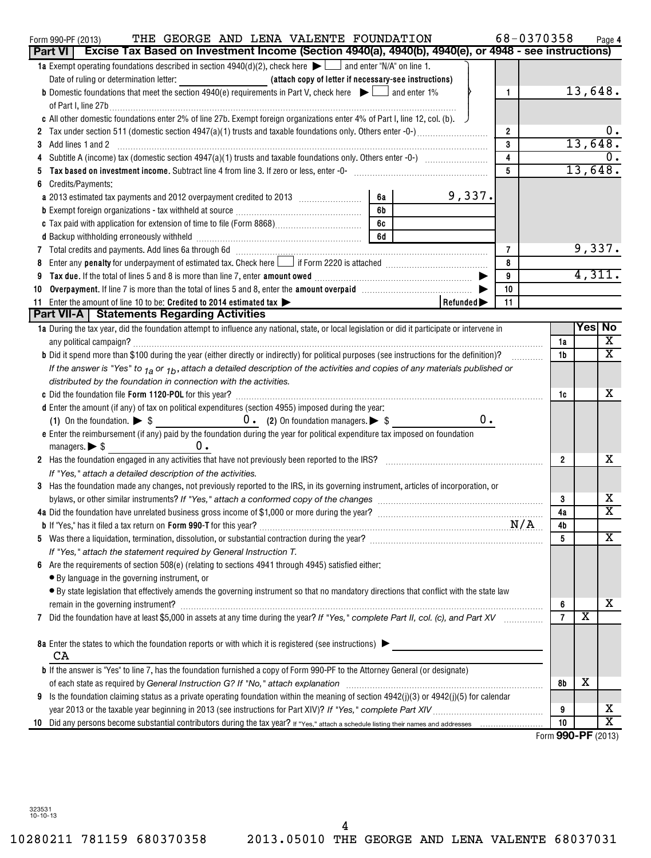| THE GEORGE AND LENA VALENTE FOUNDATION<br>Form 990-PF (2013)<br>Part VI   Excise Tax Based on Investment Income (Section 4940(a), 4940(b), 4940(e), or 4948 - see instructions)                                                                     | 68-0370358         |                |         | Page 4                  |
|-----------------------------------------------------------------------------------------------------------------------------------------------------------------------------------------------------------------------------------------------------|--------------------|----------------|---------|-------------------------|
| <b>1a</b> Exempt operating foundations described in section $4940(d)(2)$ , check here $\blacktriangleright$ $\Box$ and enter "N/A" on line 1.                                                                                                       |                    |                |         |                         |
| Date of ruling or determination letter: _________________________(attach copy of letter if necessary-see instructions)                                                                                                                              |                    |                |         |                         |
| <b>b</b> Domestic foundations that meet the section 4940(e) requirements in Part V, check here $\blacktriangleright$ $\Box$ and enter 1%<br>$\mathbf{1}$                                                                                            |                    |                | 13,648. |                         |
|                                                                                                                                                                                                                                                     |                    |                |         |                         |
| c All other domestic foundations enter 2% of line 27b. Exempt foreign organizations enter 4% of Part I, line 12, col. (b).                                                                                                                          |                    |                |         |                         |
| $\overline{2}$                                                                                                                                                                                                                                      |                    |                |         | υ.                      |
| 3<br>Add lines 1 and 2<br>3                                                                                                                                                                                                                         |                    |                | 13,648. |                         |
| $\overline{\mathbf{4}}$                                                                                                                                                                                                                             |                    |                |         |                         |
| $5\phantom{.0}$                                                                                                                                                                                                                                     |                    |                | 13,648. |                         |
| Credits/Payments:                                                                                                                                                                                                                                   |                    |                |         |                         |
| 9,337.<br>6a                                                                                                                                                                                                                                        |                    |                |         |                         |
| 6b<br><b>b</b> Exempt foreign organizations - tax withheld at source <i>manumanal component to exempt</i> foreign organizations - tax withheld at source <i>manumanal</i> component to the set of the set of the set of the set of the set of the s |                    |                |         |                         |
| 6с                                                                                                                                                                                                                                                  |                    |                |         |                         |
| 6d                                                                                                                                                                                                                                                  |                    |                |         |                         |
| 7 Total credits and payments. Add lines 6a through 6d [11] [12] Martin Martin Martin Martin Martin Martin Martin Martin Martin Martin Martin Martin Martin Martin Martin Martin Martin Martin Martin Martin Martin Martin Mart<br>7                 |                    |                | 9,337.  |                         |
| 8                                                                                                                                                                                                                                                   |                    |                |         |                         |
| $\boldsymbol{9}$                                                                                                                                                                                                                                    |                    |                | 4,311.  |                         |
| Overpayment. If line 7 is more than the total of lines 5 and 8, enter the amount overpaid manufactured and S,<br>10<br>10                                                                                                                           |                    |                |         |                         |
| 11 Enter the amount of line 10 to be: Credited to 2014 estimated tax ><br>Refunded <sup>-</sup><br>11                                                                                                                                               |                    |                |         |                         |
| <b>Part VII-A</b>   Statements Regarding Activities                                                                                                                                                                                                 |                    |                |         |                         |
| 1a During the tax year, did the foundation attempt to influence any national, state, or local legislation or did it participate or intervene in                                                                                                     |                    |                | Yes No  |                         |
|                                                                                                                                                                                                                                                     |                    | 1a             |         | X                       |
| <b>b</b> Did it spend more than \$100 during the year (either directly or indirectly) for political purposes (see instructions for the definition)?                                                                                                 |                    | 1b             |         | $\overline{\mathtt{x}}$ |
| If the answer is "Yes" to $_{1a}$ or $_{1b}$ , attach a detailed description of the activities and copies of any materials published or                                                                                                             |                    |                |         |                         |
| distributed by the foundation in connection with the activities.                                                                                                                                                                                    |                    |                |         |                         |
|                                                                                                                                                                                                                                                     |                    | 1c             |         | x                       |
| d Enter the amount (if any) of tax on political expenditures (section 4955) imposed during the year:                                                                                                                                                |                    |                |         |                         |
| 0.<br>(1) On the foundation. $\triangleright$ \$ 0. (2) On foundation managers. $\triangleright$ \$                                                                                                                                                 |                    |                |         |                         |
| e Enter the reimbursement (if any) paid by the foundation during the year for political expenditure tax imposed on foundation                                                                                                                       |                    |                |         |                         |
| υ.<br>managers. $\triangleright$ \$                                                                                                                                                                                                                 |                    |                |         | x                       |
| 2 Has the foundation engaged in any activities that have not previously been reported to the IRS? [[[[[[[[[[[[[[[[[[[[[[[[]]]]]]]]]]                                                                                                                |                    | $\overline{2}$ |         |                         |
| If "Yes," attach a detailed description of the activities.                                                                                                                                                                                          |                    |                |         |                         |
| 3 Has the foundation made any changes, not previously reported to the IRS, in its governing instrument, articles of incorporation, or                                                                                                               |                    | 3              |         | x                       |
|                                                                                                                                                                                                                                                     |                    | 4a             |         | $\overline{\mathtt{x}}$ |
|                                                                                                                                                                                                                                                     |                    | 4b             |         |                         |
|                                                                                                                                                                                                                                                     |                    | 5              |         | X                       |
| If "Yes," attach the statement required by General Instruction T.                                                                                                                                                                                   |                    |                |         |                         |
| 6 Are the requirements of section 508(e) (relating to sections 4941 through 4945) satisfied either:                                                                                                                                                 |                    |                |         |                         |
| • By language in the governing instrument, or                                                                                                                                                                                                       |                    |                |         |                         |
| · By state legislation that effectively amends the governing instrument so that no mandatory directions that conflict with the state law                                                                                                            |                    |                |         |                         |
| remain in the governing instrument?                                                                                                                                                                                                                 |                    | 6              |         | х                       |
| Did the foundation have at least \$5,000 in assets at any time during the year? If "Yes," complete Part II, col. (c), and Part XV<br>7                                                                                                              |                    | $\overline{7}$ | х       |                         |
|                                                                                                                                                                                                                                                     |                    |                |         |                         |
| 8a Enter the states to which the foundation reports or with which it is registered (see instructions)                                                                                                                                               |                    |                |         |                         |
| CA                                                                                                                                                                                                                                                  |                    |                |         |                         |
| <b>b</b> If the answer is "Yes" to line 7, has the foundation furnished a copy of Form 990-PF to the Attorney General (or designate)                                                                                                                |                    |                |         |                         |
|                                                                                                                                                                                                                                                     |                    | 8b             | х       |                         |
| Is the foundation claiming status as a private operating foundation within the meaning of section 4942(j)(3) or 4942(j)(5) for calendar<br>9                                                                                                        |                    |                |         |                         |
|                                                                                                                                                                                                                                                     |                    | 9              |         | x                       |
| 10                                                                                                                                                                                                                                                  |                    | 10             |         | $\overline{\textbf{x}}$ |
|                                                                                                                                                                                                                                                     | Form 990-PF (2013) |                |         |                         |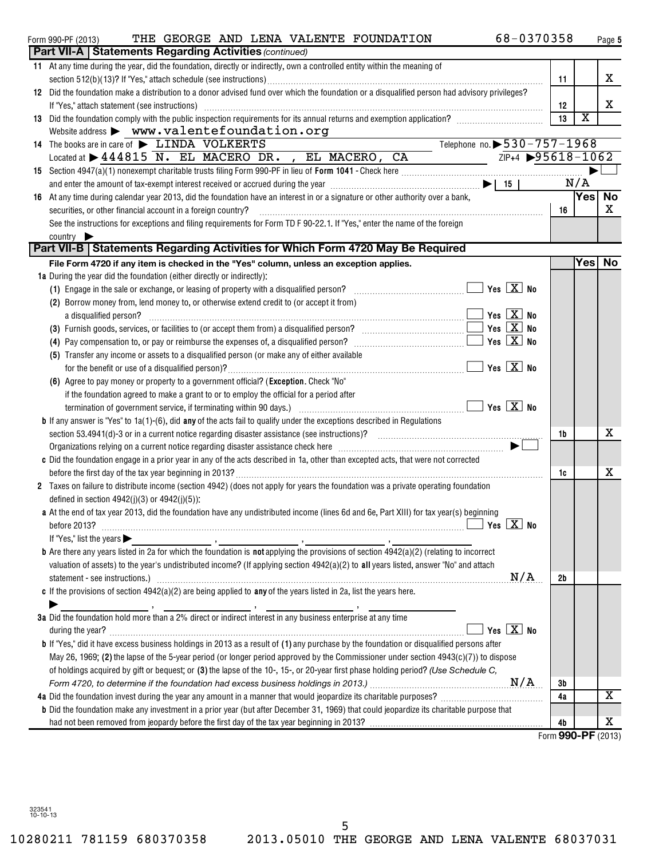| <b>Part VII-A   Statements Regarding Activities (continued)</b><br>11 At any time during the year, did the foundation, directly or indirectly, own a controlled entity within the meaning of<br>x<br>11<br>12 Did the foundation make a distribution to a donor advised fund over which the foundation or a disqualified person had advisory privileges?<br>х<br>If "Yes," attach statement (see instructions) with an according control of the statement of the statement (see instructions)<br>12<br>$\overline{\textbf{X}}$<br>13 Did the foundation comply with the public inspection requirements for its annual returns and exemption application?<br>13<br>Website address $\triangleright$ www.valentefoundation.org<br>Telephone no. $\blacktriangleright$ 530-757-1968<br>14 The books are in care of $\blacktriangleright$ LINDA VOLKERTS<br>Located at $\triangleright$ 444815 N. EL MACERO DR. , EL MACERO, CA<br>$\frac{ZIP+4 \rightarrow 95618-1062}{2}$<br>N/A<br>and enter the amount of tax-exempt interest received or accrued during the year $\ldots$ $\ldots$ $\ldots$ $\ldots$ $\ldots$ $\ldots$ $\ldots$ $\ldots$ $\ldots$ $\ldots$ $\ldots$ $\ldots$ $\ldots$ $\ldots$<br>$ {\sf Yes} $<br><b>No</b><br>16 At any time during calendar year 2013, did the foundation have an interest in or a signature or other authority over a bank,<br>x<br>securities, or other financial account in a foreign country?<br>16<br>See the instructions for exceptions and filing requirements for Form TD F 90-22.1. If "Yes," enter the name of the foreign<br>country<br>Part VII-B   Statements Regarding Activities for Which Form 4720 May Be Required<br>File Form 4720 if any item is checked in the "Yes" column, unless an exception applies.<br>1a During the year did the foundation (either directly or indirectly):<br>(1) Engage in the sale or exchange, or leasing of property with a disqualified person? $\ldots$ $\ldots$ $\ldots$ $\ldots$ $\ldots$ $\ldots$ Yes $\boxed{\mathbf{X}}$ No<br>(2) Borrow money from, lend money to, or otherwise extend credit to (or accept it from)<br>$\overline{\phantom{a}}$ Yes $\overline{\phantom{a}}$ No<br>a disqualified person?<br>(3) Furnish goods, services, or facilities to (or accept them from) a disqualified person? $\ldots$ $\ldots$ $\ldots$ $\ldots$ $\ldots$ $\ldots$ Yes $\boxed{\mathbf{X}}$ No<br>(4) Pay compensation to, or pay or reimburse the expenses of, a disqualified person? $\ldots$ $\ldots$ $\ldots$ $\ldots$ $\ldots$ $\ldots$ $\ldots$ Yes $\boxed{\mathbf{X}}$ No<br>(5) Transfer any income or assets to a disqualified person (or make any of either available<br>$\boxed{\phantom{1}}$ Yes $\boxed{\mathrm{X}}$ No<br>(6) Agree to pay money or property to a government official? (Exception. Check "No"<br>if the foundation agreed to make a grant to or to employ the official for a period after<br><b>b</b> If any answer is "Yes" to $1a(1)-(6)$ , did any of the acts fail to qualify under the exceptions described in Regulations<br>x<br>1b<br>Organizations relying on a current notice regarding disaster assistance check here <i>manumana communically</i><br>c Did the foundation engage in a prior year in any of the acts described in 1a, other than excepted acts, that were not corrected<br>x<br>1c<br>2 Taxes on failure to distribute income (section 4942) (does not apply for years the foundation was a private operating foundation<br>defined in section $4942(j)(3)$ or $4942(j)(5)$ :<br>a At the end of tax year 2013, did the foundation have any undistributed income (lines 6d and 6e, Part XIII) for tax year(s) beginning<br>$\overline{\phantom{a}}$ Yes $\overline{\phantom{a}}$ Yes $\overline{\phantom{a}}$ No<br>before 2013?<br>If "Yes," list the years $\blacktriangleright$<br>valuation of assets) to the year's undistributed income? (If applying section 4942(a)(2) to all years listed, answer "No" and attach<br>statement - see instructions.) with an example of the statement of the statement - see instructions.) M/A<br>2b<br>c If the provisions of section $4942(a)(2)$ are being applied to any of the years listed in 2a, list the years here.<br>3a Did the foundation hold more than a 2% direct or indirect interest in any business enterprise at any time<br>Yes $X$ No<br><b>b</b> If "Yes," did it have excess business holdings in 2013 as a result of (1) any purchase by the foundation or disqualified persons after<br>May 26, 1969; (2) the lapse of the 5-year period (or longer period approved by the Commissioner under section $4943(c)(7)$ ) to dispose<br>of holdings acquired by gift or bequest; or (3) the lapse of the 10-, 15-, or 20-year first phase holding period? (Use Schedule C,<br>3b<br>X<br>4a<br><b>b</b> Did the foundation make any investment in a prior year (but after December 31, 1969) that could jeopardize its charitable purpose that<br>x<br>4b | 68-0370358<br>THE GEORGE AND LENA VALENTE FOUNDATION<br>Form 990-PF (2013) |  | Page 5 |
|------------------------------------------------------------------------------------------------------------------------------------------------------------------------------------------------------------------------------------------------------------------------------------------------------------------------------------------------------------------------------------------------------------------------------------------------------------------------------------------------------------------------------------------------------------------------------------------------------------------------------------------------------------------------------------------------------------------------------------------------------------------------------------------------------------------------------------------------------------------------------------------------------------------------------------------------------------------------------------------------------------------------------------------------------------------------------------------------------------------------------------------------------------------------------------------------------------------------------------------------------------------------------------------------------------------------------------------------------------------------------------------------------------------------------------------------------------------------------------------------------------------------------------------------------------------------------------------------------------------------------------------------------------------------------------------------------------------------------------------------------------------------------------------------------------------------------------------------------------------------------------------------------------------------------------------------------------------------------------------------------------------------------------------------------------------------------------------------------------------------------------------------------------------------------------------------------------------------------------------------------------------------------------------------------------------------------------------------------------------------------------------------------------------------------------------------------------------------------------------------------------------------------------------------------------------------------------------------------------------------------------------------------------------------------------------------------------------------------------------------------------------------------------------------------------------------------------------------------------------------------------------------------------------------------------------------------------------------------------------------------------------------------------------------------------------------------------------------------------------------------------------------------------------------------------------------------------------------------------------------------------------------------------------------------------------------------------------------------------------------------------------------------------------------------------------------------------------------------------------------------------------------------------------------------------------------------------------------------------------------------------------------------------------------------------------------------------------------------------------------------------------------------------------------------------------------------------------------------------------------------------------------------------------------------------------------------------------------------------------------------------------------------------------------------------------------------------------------------------------------------------------------------------------------------------------------------------------------------------------------------------------------------------------------------------------------------------------------------------------------------------------------------------------------------------------------------------------------------------------------------------------------------------------------------------------------------------------------------------------------------------------------------------------------------------------------------------------------------------------------------------------------------------------------------------------------------------------------------------------------------------------------------------------------------------------------------------------------------|----------------------------------------------------------------------------|--|--------|
| Yes No<br>Form 990-PF (2013)                                                                                                                                                                                                                                                                                                                                                                                                                                                                                                                                                                                                                                                                                                                                                                                                                                                                                                                                                                                                                                                                                                                                                                                                                                                                                                                                                                                                                                                                                                                                                                                                                                                                                                                                                                                                                                                                                                                                                                                                                                                                                                                                                                                                                                                                                                                                                                                                                                                                                                                                                                                                                                                                                                                                                                                                                                                                                                                                                                                                                                                                                                                                                                                                                                                                                                                                                                                                                                                                                                                                                                                                                                                                                                                                                                                                                                                                                                                                                                                                                                                                                                                                                                                                                                                                                                                                                                                                                                                                                                                                                                                                                                                                                                                                                                                                                                                                                                                                                 |                                                                            |  |        |
|                                                                                                                                                                                                                                                                                                                                                                                                                                                                                                                                                                                                                                                                                                                                                                                                                                                                                                                                                                                                                                                                                                                                                                                                                                                                                                                                                                                                                                                                                                                                                                                                                                                                                                                                                                                                                                                                                                                                                                                                                                                                                                                                                                                                                                                                                                                                                                                                                                                                                                                                                                                                                                                                                                                                                                                                                                                                                                                                                                                                                                                                                                                                                                                                                                                                                                                                                                                                                                                                                                                                                                                                                                                                                                                                                                                                                                                                                                                                                                                                                                                                                                                                                                                                                                                                                                                                                                                                                                                                                                                                                                                                                                                                                                                                                                                                                                                                                                                                                                              |                                                                            |  |        |
|                                                                                                                                                                                                                                                                                                                                                                                                                                                                                                                                                                                                                                                                                                                                                                                                                                                                                                                                                                                                                                                                                                                                                                                                                                                                                                                                                                                                                                                                                                                                                                                                                                                                                                                                                                                                                                                                                                                                                                                                                                                                                                                                                                                                                                                                                                                                                                                                                                                                                                                                                                                                                                                                                                                                                                                                                                                                                                                                                                                                                                                                                                                                                                                                                                                                                                                                                                                                                                                                                                                                                                                                                                                                                                                                                                                                                                                                                                                                                                                                                                                                                                                                                                                                                                                                                                                                                                                                                                                                                                                                                                                                                                                                                                                                                                                                                                                                                                                                                                              |                                                                            |  |        |
|                                                                                                                                                                                                                                                                                                                                                                                                                                                                                                                                                                                                                                                                                                                                                                                                                                                                                                                                                                                                                                                                                                                                                                                                                                                                                                                                                                                                                                                                                                                                                                                                                                                                                                                                                                                                                                                                                                                                                                                                                                                                                                                                                                                                                                                                                                                                                                                                                                                                                                                                                                                                                                                                                                                                                                                                                                                                                                                                                                                                                                                                                                                                                                                                                                                                                                                                                                                                                                                                                                                                                                                                                                                                                                                                                                                                                                                                                                                                                                                                                                                                                                                                                                                                                                                                                                                                                                                                                                                                                                                                                                                                                                                                                                                                                                                                                                                                                                                                                                              |                                                                            |  |        |
|                                                                                                                                                                                                                                                                                                                                                                                                                                                                                                                                                                                                                                                                                                                                                                                                                                                                                                                                                                                                                                                                                                                                                                                                                                                                                                                                                                                                                                                                                                                                                                                                                                                                                                                                                                                                                                                                                                                                                                                                                                                                                                                                                                                                                                                                                                                                                                                                                                                                                                                                                                                                                                                                                                                                                                                                                                                                                                                                                                                                                                                                                                                                                                                                                                                                                                                                                                                                                                                                                                                                                                                                                                                                                                                                                                                                                                                                                                                                                                                                                                                                                                                                                                                                                                                                                                                                                                                                                                                                                                                                                                                                                                                                                                                                                                                                                                                                                                                                                                              |                                                                            |  |        |
|                                                                                                                                                                                                                                                                                                                                                                                                                                                                                                                                                                                                                                                                                                                                                                                                                                                                                                                                                                                                                                                                                                                                                                                                                                                                                                                                                                                                                                                                                                                                                                                                                                                                                                                                                                                                                                                                                                                                                                                                                                                                                                                                                                                                                                                                                                                                                                                                                                                                                                                                                                                                                                                                                                                                                                                                                                                                                                                                                                                                                                                                                                                                                                                                                                                                                                                                                                                                                                                                                                                                                                                                                                                                                                                                                                                                                                                                                                                                                                                                                                                                                                                                                                                                                                                                                                                                                                                                                                                                                                                                                                                                                                                                                                                                                                                                                                                                                                                                                                              |                                                                            |  |        |
|                                                                                                                                                                                                                                                                                                                                                                                                                                                                                                                                                                                                                                                                                                                                                                                                                                                                                                                                                                                                                                                                                                                                                                                                                                                                                                                                                                                                                                                                                                                                                                                                                                                                                                                                                                                                                                                                                                                                                                                                                                                                                                                                                                                                                                                                                                                                                                                                                                                                                                                                                                                                                                                                                                                                                                                                                                                                                                                                                                                                                                                                                                                                                                                                                                                                                                                                                                                                                                                                                                                                                                                                                                                                                                                                                                                                                                                                                                                                                                                                                                                                                                                                                                                                                                                                                                                                                                                                                                                                                                                                                                                                                                                                                                                                                                                                                                                                                                                                                                              |                                                                            |  |        |
|                                                                                                                                                                                                                                                                                                                                                                                                                                                                                                                                                                                                                                                                                                                                                                                                                                                                                                                                                                                                                                                                                                                                                                                                                                                                                                                                                                                                                                                                                                                                                                                                                                                                                                                                                                                                                                                                                                                                                                                                                                                                                                                                                                                                                                                                                                                                                                                                                                                                                                                                                                                                                                                                                                                                                                                                                                                                                                                                                                                                                                                                                                                                                                                                                                                                                                                                                                                                                                                                                                                                                                                                                                                                                                                                                                                                                                                                                                                                                                                                                                                                                                                                                                                                                                                                                                                                                                                                                                                                                                                                                                                                                                                                                                                                                                                                                                                                                                                                                                              |                                                                            |  |        |
|                                                                                                                                                                                                                                                                                                                                                                                                                                                                                                                                                                                                                                                                                                                                                                                                                                                                                                                                                                                                                                                                                                                                                                                                                                                                                                                                                                                                                                                                                                                                                                                                                                                                                                                                                                                                                                                                                                                                                                                                                                                                                                                                                                                                                                                                                                                                                                                                                                                                                                                                                                                                                                                                                                                                                                                                                                                                                                                                                                                                                                                                                                                                                                                                                                                                                                                                                                                                                                                                                                                                                                                                                                                                                                                                                                                                                                                                                                                                                                                                                                                                                                                                                                                                                                                                                                                                                                                                                                                                                                                                                                                                                                                                                                                                                                                                                                                                                                                                                                              |                                                                            |  |        |
|                                                                                                                                                                                                                                                                                                                                                                                                                                                                                                                                                                                                                                                                                                                                                                                                                                                                                                                                                                                                                                                                                                                                                                                                                                                                                                                                                                                                                                                                                                                                                                                                                                                                                                                                                                                                                                                                                                                                                                                                                                                                                                                                                                                                                                                                                                                                                                                                                                                                                                                                                                                                                                                                                                                                                                                                                                                                                                                                                                                                                                                                                                                                                                                                                                                                                                                                                                                                                                                                                                                                                                                                                                                                                                                                                                                                                                                                                                                                                                                                                                                                                                                                                                                                                                                                                                                                                                                                                                                                                                                                                                                                                                                                                                                                                                                                                                                                                                                                                                              |                                                                            |  |        |
|                                                                                                                                                                                                                                                                                                                                                                                                                                                                                                                                                                                                                                                                                                                                                                                                                                                                                                                                                                                                                                                                                                                                                                                                                                                                                                                                                                                                                                                                                                                                                                                                                                                                                                                                                                                                                                                                                                                                                                                                                                                                                                                                                                                                                                                                                                                                                                                                                                                                                                                                                                                                                                                                                                                                                                                                                                                                                                                                                                                                                                                                                                                                                                                                                                                                                                                                                                                                                                                                                                                                                                                                                                                                                                                                                                                                                                                                                                                                                                                                                                                                                                                                                                                                                                                                                                                                                                                                                                                                                                                                                                                                                                                                                                                                                                                                                                                                                                                                                                              |                                                                            |  |        |
|                                                                                                                                                                                                                                                                                                                                                                                                                                                                                                                                                                                                                                                                                                                                                                                                                                                                                                                                                                                                                                                                                                                                                                                                                                                                                                                                                                                                                                                                                                                                                                                                                                                                                                                                                                                                                                                                                                                                                                                                                                                                                                                                                                                                                                                                                                                                                                                                                                                                                                                                                                                                                                                                                                                                                                                                                                                                                                                                                                                                                                                                                                                                                                                                                                                                                                                                                                                                                                                                                                                                                                                                                                                                                                                                                                                                                                                                                                                                                                                                                                                                                                                                                                                                                                                                                                                                                                                                                                                                                                                                                                                                                                                                                                                                                                                                                                                                                                                                                                              |                                                                            |  |        |
|                                                                                                                                                                                                                                                                                                                                                                                                                                                                                                                                                                                                                                                                                                                                                                                                                                                                                                                                                                                                                                                                                                                                                                                                                                                                                                                                                                                                                                                                                                                                                                                                                                                                                                                                                                                                                                                                                                                                                                                                                                                                                                                                                                                                                                                                                                                                                                                                                                                                                                                                                                                                                                                                                                                                                                                                                                                                                                                                                                                                                                                                                                                                                                                                                                                                                                                                                                                                                                                                                                                                                                                                                                                                                                                                                                                                                                                                                                                                                                                                                                                                                                                                                                                                                                                                                                                                                                                                                                                                                                                                                                                                                                                                                                                                                                                                                                                                                                                                                                              |                                                                            |  |        |
|                                                                                                                                                                                                                                                                                                                                                                                                                                                                                                                                                                                                                                                                                                                                                                                                                                                                                                                                                                                                                                                                                                                                                                                                                                                                                                                                                                                                                                                                                                                                                                                                                                                                                                                                                                                                                                                                                                                                                                                                                                                                                                                                                                                                                                                                                                                                                                                                                                                                                                                                                                                                                                                                                                                                                                                                                                                                                                                                                                                                                                                                                                                                                                                                                                                                                                                                                                                                                                                                                                                                                                                                                                                                                                                                                                                                                                                                                                                                                                                                                                                                                                                                                                                                                                                                                                                                                                                                                                                                                                                                                                                                                                                                                                                                                                                                                                                                                                                                                                              |                                                                            |  |        |
|                                                                                                                                                                                                                                                                                                                                                                                                                                                                                                                                                                                                                                                                                                                                                                                                                                                                                                                                                                                                                                                                                                                                                                                                                                                                                                                                                                                                                                                                                                                                                                                                                                                                                                                                                                                                                                                                                                                                                                                                                                                                                                                                                                                                                                                                                                                                                                                                                                                                                                                                                                                                                                                                                                                                                                                                                                                                                                                                                                                                                                                                                                                                                                                                                                                                                                                                                                                                                                                                                                                                                                                                                                                                                                                                                                                                                                                                                                                                                                                                                                                                                                                                                                                                                                                                                                                                                                                                                                                                                                                                                                                                                                                                                                                                                                                                                                                                                                                                                                              |                                                                            |  |        |
|                                                                                                                                                                                                                                                                                                                                                                                                                                                                                                                                                                                                                                                                                                                                                                                                                                                                                                                                                                                                                                                                                                                                                                                                                                                                                                                                                                                                                                                                                                                                                                                                                                                                                                                                                                                                                                                                                                                                                                                                                                                                                                                                                                                                                                                                                                                                                                                                                                                                                                                                                                                                                                                                                                                                                                                                                                                                                                                                                                                                                                                                                                                                                                                                                                                                                                                                                                                                                                                                                                                                                                                                                                                                                                                                                                                                                                                                                                                                                                                                                                                                                                                                                                                                                                                                                                                                                                                                                                                                                                                                                                                                                                                                                                                                                                                                                                                                                                                                                                              |                                                                            |  |        |
|                                                                                                                                                                                                                                                                                                                                                                                                                                                                                                                                                                                                                                                                                                                                                                                                                                                                                                                                                                                                                                                                                                                                                                                                                                                                                                                                                                                                                                                                                                                                                                                                                                                                                                                                                                                                                                                                                                                                                                                                                                                                                                                                                                                                                                                                                                                                                                                                                                                                                                                                                                                                                                                                                                                                                                                                                                                                                                                                                                                                                                                                                                                                                                                                                                                                                                                                                                                                                                                                                                                                                                                                                                                                                                                                                                                                                                                                                                                                                                                                                                                                                                                                                                                                                                                                                                                                                                                                                                                                                                                                                                                                                                                                                                                                                                                                                                                                                                                                                                              |                                                                            |  |        |
|                                                                                                                                                                                                                                                                                                                                                                                                                                                                                                                                                                                                                                                                                                                                                                                                                                                                                                                                                                                                                                                                                                                                                                                                                                                                                                                                                                                                                                                                                                                                                                                                                                                                                                                                                                                                                                                                                                                                                                                                                                                                                                                                                                                                                                                                                                                                                                                                                                                                                                                                                                                                                                                                                                                                                                                                                                                                                                                                                                                                                                                                                                                                                                                                                                                                                                                                                                                                                                                                                                                                                                                                                                                                                                                                                                                                                                                                                                                                                                                                                                                                                                                                                                                                                                                                                                                                                                                                                                                                                                                                                                                                                                                                                                                                                                                                                                                                                                                                                                              |                                                                            |  |        |
|                                                                                                                                                                                                                                                                                                                                                                                                                                                                                                                                                                                                                                                                                                                                                                                                                                                                                                                                                                                                                                                                                                                                                                                                                                                                                                                                                                                                                                                                                                                                                                                                                                                                                                                                                                                                                                                                                                                                                                                                                                                                                                                                                                                                                                                                                                                                                                                                                                                                                                                                                                                                                                                                                                                                                                                                                                                                                                                                                                                                                                                                                                                                                                                                                                                                                                                                                                                                                                                                                                                                                                                                                                                                                                                                                                                                                                                                                                                                                                                                                                                                                                                                                                                                                                                                                                                                                                                                                                                                                                                                                                                                                                                                                                                                                                                                                                                                                                                                                                              |                                                                            |  |        |
|                                                                                                                                                                                                                                                                                                                                                                                                                                                                                                                                                                                                                                                                                                                                                                                                                                                                                                                                                                                                                                                                                                                                                                                                                                                                                                                                                                                                                                                                                                                                                                                                                                                                                                                                                                                                                                                                                                                                                                                                                                                                                                                                                                                                                                                                                                                                                                                                                                                                                                                                                                                                                                                                                                                                                                                                                                                                                                                                                                                                                                                                                                                                                                                                                                                                                                                                                                                                                                                                                                                                                                                                                                                                                                                                                                                                                                                                                                                                                                                                                                                                                                                                                                                                                                                                                                                                                                                                                                                                                                                                                                                                                                                                                                                                                                                                                                                                                                                                                                              |                                                                            |  |        |
|                                                                                                                                                                                                                                                                                                                                                                                                                                                                                                                                                                                                                                                                                                                                                                                                                                                                                                                                                                                                                                                                                                                                                                                                                                                                                                                                                                                                                                                                                                                                                                                                                                                                                                                                                                                                                                                                                                                                                                                                                                                                                                                                                                                                                                                                                                                                                                                                                                                                                                                                                                                                                                                                                                                                                                                                                                                                                                                                                                                                                                                                                                                                                                                                                                                                                                                                                                                                                                                                                                                                                                                                                                                                                                                                                                                                                                                                                                                                                                                                                                                                                                                                                                                                                                                                                                                                                                                                                                                                                                                                                                                                                                                                                                                                                                                                                                                                                                                                                                              |                                                                            |  |        |
|                                                                                                                                                                                                                                                                                                                                                                                                                                                                                                                                                                                                                                                                                                                                                                                                                                                                                                                                                                                                                                                                                                                                                                                                                                                                                                                                                                                                                                                                                                                                                                                                                                                                                                                                                                                                                                                                                                                                                                                                                                                                                                                                                                                                                                                                                                                                                                                                                                                                                                                                                                                                                                                                                                                                                                                                                                                                                                                                                                                                                                                                                                                                                                                                                                                                                                                                                                                                                                                                                                                                                                                                                                                                                                                                                                                                                                                                                                                                                                                                                                                                                                                                                                                                                                                                                                                                                                                                                                                                                                                                                                                                                                                                                                                                                                                                                                                                                                                                                                              |                                                                            |  |        |
|                                                                                                                                                                                                                                                                                                                                                                                                                                                                                                                                                                                                                                                                                                                                                                                                                                                                                                                                                                                                                                                                                                                                                                                                                                                                                                                                                                                                                                                                                                                                                                                                                                                                                                                                                                                                                                                                                                                                                                                                                                                                                                                                                                                                                                                                                                                                                                                                                                                                                                                                                                                                                                                                                                                                                                                                                                                                                                                                                                                                                                                                                                                                                                                                                                                                                                                                                                                                                                                                                                                                                                                                                                                                                                                                                                                                                                                                                                                                                                                                                                                                                                                                                                                                                                                                                                                                                                                                                                                                                                                                                                                                                                                                                                                                                                                                                                                                                                                                                                              |                                                                            |  |        |
|                                                                                                                                                                                                                                                                                                                                                                                                                                                                                                                                                                                                                                                                                                                                                                                                                                                                                                                                                                                                                                                                                                                                                                                                                                                                                                                                                                                                                                                                                                                                                                                                                                                                                                                                                                                                                                                                                                                                                                                                                                                                                                                                                                                                                                                                                                                                                                                                                                                                                                                                                                                                                                                                                                                                                                                                                                                                                                                                                                                                                                                                                                                                                                                                                                                                                                                                                                                                                                                                                                                                                                                                                                                                                                                                                                                                                                                                                                                                                                                                                                                                                                                                                                                                                                                                                                                                                                                                                                                                                                                                                                                                                                                                                                                                                                                                                                                                                                                                                                              |                                                                            |  |        |
|                                                                                                                                                                                                                                                                                                                                                                                                                                                                                                                                                                                                                                                                                                                                                                                                                                                                                                                                                                                                                                                                                                                                                                                                                                                                                                                                                                                                                                                                                                                                                                                                                                                                                                                                                                                                                                                                                                                                                                                                                                                                                                                                                                                                                                                                                                                                                                                                                                                                                                                                                                                                                                                                                                                                                                                                                                                                                                                                                                                                                                                                                                                                                                                                                                                                                                                                                                                                                                                                                                                                                                                                                                                                                                                                                                                                                                                                                                                                                                                                                                                                                                                                                                                                                                                                                                                                                                                                                                                                                                                                                                                                                                                                                                                                                                                                                                                                                                                                                                              |                                                                            |  |        |
|                                                                                                                                                                                                                                                                                                                                                                                                                                                                                                                                                                                                                                                                                                                                                                                                                                                                                                                                                                                                                                                                                                                                                                                                                                                                                                                                                                                                                                                                                                                                                                                                                                                                                                                                                                                                                                                                                                                                                                                                                                                                                                                                                                                                                                                                                                                                                                                                                                                                                                                                                                                                                                                                                                                                                                                                                                                                                                                                                                                                                                                                                                                                                                                                                                                                                                                                                                                                                                                                                                                                                                                                                                                                                                                                                                                                                                                                                                                                                                                                                                                                                                                                                                                                                                                                                                                                                                                                                                                                                                                                                                                                                                                                                                                                                                                                                                                                                                                                                                              |                                                                            |  |        |
|                                                                                                                                                                                                                                                                                                                                                                                                                                                                                                                                                                                                                                                                                                                                                                                                                                                                                                                                                                                                                                                                                                                                                                                                                                                                                                                                                                                                                                                                                                                                                                                                                                                                                                                                                                                                                                                                                                                                                                                                                                                                                                                                                                                                                                                                                                                                                                                                                                                                                                                                                                                                                                                                                                                                                                                                                                                                                                                                                                                                                                                                                                                                                                                                                                                                                                                                                                                                                                                                                                                                                                                                                                                                                                                                                                                                                                                                                                                                                                                                                                                                                                                                                                                                                                                                                                                                                                                                                                                                                                                                                                                                                                                                                                                                                                                                                                                                                                                                                                              |                                                                            |  |        |
|                                                                                                                                                                                                                                                                                                                                                                                                                                                                                                                                                                                                                                                                                                                                                                                                                                                                                                                                                                                                                                                                                                                                                                                                                                                                                                                                                                                                                                                                                                                                                                                                                                                                                                                                                                                                                                                                                                                                                                                                                                                                                                                                                                                                                                                                                                                                                                                                                                                                                                                                                                                                                                                                                                                                                                                                                                                                                                                                                                                                                                                                                                                                                                                                                                                                                                                                                                                                                                                                                                                                                                                                                                                                                                                                                                                                                                                                                                                                                                                                                                                                                                                                                                                                                                                                                                                                                                                                                                                                                                                                                                                                                                                                                                                                                                                                                                                                                                                                                                              |                                                                            |  |        |
|                                                                                                                                                                                                                                                                                                                                                                                                                                                                                                                                                                                                                                                                                                                                                                                                                                                                                                                                                                                                                                                                                                                                                                                                                                                                                                                                                                                                                                                                                                                                                                                                                                                                                                                                                                                                                                                                                                                                                                                                                                                                                                                                                                                                                                                                                                                                                                                                                                                                                                                                                                                                                                                                                                                                                                                                                                                                                                                                                                                                                                                                                                                                                                                                                                                                                                                                                                                                                                                                                                                                                                                                                                                                                                                                                                                                                                                                                                                                                                                                                                                                                                                                                                                                                                                                                                                                                                                                                                                                                                                                                                                                                                                                                                                                                                                                                                                                                                                                                                              |                                                                            |  |        |
|                                                                                                                                                                                                                                                                                                                                                                                                                                                                                                                                                                                                                                                                                                                                                                                                                                                                                                                                                                                                                                                                                                                                                                                                                                                                                                                                                                                                                                                                                                                                                                                                                                                                                                                                                                                                                                                                                                                                                                                                                                                                                                                                                                                                                                                                                                                                                                                                                                                                                                                                                                                                                                                                                                                                                                                                                                                                                                                                                                                                                                                                                                                                                                                                                                                                                                                                                                                                                                                                                                                                                                                                                                                                                                                                                                                                                                                                                                                                                                                                                                                                                                                                                                                                                                                                                                                                                                                                                                                                                                                                                                                                                                                                                                                                                                                                                                                                                                                                                                              |                                                                            |  |        |
|                                                                                                                                                                                                                                                                                                                                                                                                                                                                                                                                                                                                                                                                                                                                                                                                                                                                                                                                                                                                                                                                                                                                                                                                                                                                                                                                                                                                                                                                                                                                                                                                                                                                                                                                                                                                                                                                                                                                                                                                                                                                                                                                                                                                                                                                                                                                                                                                                                                                                                                                                                                                                                                                                                                                                                                                                                                                                                                                                                                                                                                                                                                                                                                                                                                                                                                                                                                                                                                                                                                                                                                                                                                                                                                                                                                                                                                                                                                                                                                                                                                                                                                                                                                                                                                                                                                                                                                                                                                                                                                                                                                                                                                                                                                                                                                                                                                                                                                                                                              |                                                                            |  |        |
|                                                                                                                                                                                                                                                                                                                                                                                                                                                                                                                                                                                                                                                                                                                                                                                                                                                                                                                                                                                                                                                                                                                                                                                                                                                                                                                                                                                                                                                                                                                                                                                                                                                                                                                                                                                                                                                                                                                                                                                                                                                                                                                                                                                                                                                                                                                                                                                                                                                                                                                                                                                                                                                                                                                                                                                                                                                                                                                                                                                                                                                                                                                                                                                                                                                                                                                                                                                                                                                                                                                                                                                                                                                                                                                                                                                                                                                                                                                                                                                                                                                                                                                                                                                                                                                                                                                                                                                                                                                                                                                                                                                                                                                                                                                                                                                                                                                                                                                                                                              |                                                                            |  |        |
|                                                                                                                                                                                                                                                                                                                                                                                                                                                                                                                                                                                                                                                                                                                                                                                                                                                                                                                                                                                                                                                                                                                                                                                                                                                                                                                                                                                                                                                                                                                                                                                                                                                                                                                                                                                                                                                                                                                                                                                                                                                                                                                                                                                                                                                                                                                                                                                                                                                                                                                                                                                                                                                                                                                                                                                                                                                                                                                                                                                                                                                                                                                                                                                                                                                                                                                                                                                                                                                                                                                                                                                                                                                                                                                                                                                                                                                                                                                                                                                                                                                                                                                                                                                                                                                                                                                                                                                                                                                                                                                                                                                                                                                                                                                                                                                                                                                                                                                                                                              |                                                                            |  |        |
|                                                                                                                                                                                                                                                                                                                                                                                                                                                                                                                                                                                                                                                                                                                                                                                                                                                                                                                                                                                                                                                                                                                                                                                                                                                                                                                                                                                                                                                                                                                                                                                                                                                                                                                                                                                                                                                                                                                                                                                                                                                                                                                                                                                                                                                                                                                                                                                                                                                                                                                                                                                                                                                                                                                                                                                                                                                                                                                                                                                                                                                                                                                                                                                                                                                                                                                                                                                                                                                                                                                                                                                                                                                                                                                                                                                                                                                                                                                                                                                                                                                                                                                                                                                                                                                                                                                                                                                                                                                                                                                                                                                                                                                                                                                                                                                                                                                                                                                                                                              |                                                                            |  |        |
|                                                                                                                                                                                                                                                                                                                                                                                                                                                                                                                                                                                                                                                                                                                                                                                                                                                                                                                                                                                                                                                                                                                                                                                                                                                                                                                                                                                                                                                                                                                                                                                                                                                                                                                                                                                                                                                                                                                                                                                                                                                                                                                                                                                                                                                                                                                                                                                                                                                                                                                                                                                                                                                                                                                                                                                                                                                                                                                                                                                                                                                                                                                                                                                                                                                                                                                                                                                                                                                                                                                                                                                                                                                                                                                                                                                                                                                                                                                                                                                                                                                                                                                                                                                                                                                                                                                                                                                                                                                                                                                                                                                                                                                                                                                                                                                                                                                                                                                                                                              |                                                                            |  |        |
|                                                                                                                                                                                                                                                                                                                                                                                                                                                                                                                                                                                                                                                                                                                                                                                                                                                                                                                                                                                                                                                                                                                                                                                                                                                                                                                                                                                                                                                                                                                                                                                                                                                                                                                                                                                                                                                                                                                                                                                                                                                                                                                                                                                                                                                                                                                                                                                                                                                                                                                                                                                                                                                                                                                                                                                                                                                                                                                                                                                                                                                                                                                                                                                                                                                                                                                                                                                                                                                                                                                                                                                                                                                                                                                                                                                                                                                                                                                                                                                                                                                                                                                                                                                                                                                                                                                                                                                                                                                                                                                                                                                                                                                                                                                                                                                                                                                                                                                                                                              |                                                                            |  |        |
|                                                                                                                                                                                                                                                                                                                                                                                                                                                                                                                                                                                                                                                                                                                                                                                                                                                                                                                                                                                                                                                                                                                                                                                                                                                                                                                                                                                                                                                                                                                                                                                                                                                                                                                                                                                                                                                                                                                                                                                                                                                                                                                                                                                                                                                                                                                                                                                                                                                                                                                                                                                                                                                                                                                                                                                                                                                                                                                                                                                                                                                                                                                                                                                                                                                                                                                                                                                                                                                                                                                                                                                                                                                                                                                                                                                                                                                                                                                                                                                                                                                                                                                                                                                                                                                                                                                                                                                                                                                                                                                                                                                                                                                                                                                                                                                                                                                                                                                                                                              |                                                                            |  |        |
|                                                                                                                                                                                                                                                                                                                                                                                                                                                                                                                                                                                                                                                                                                                                                                                                                                                                                                                                                                                                                                                                                                                                                                                                                                                                                                                                                                                                                                                                                                                                                                                                                                                                                                                                                                                                                                                                                                                                                                                                                                                                                                                                                                                                                                                                                                                                                                                                                                                                                                                                                                                                                                                                                                                                                                                                                                                                                                                                                                                                                                                                                                                                                                                                                                                                                                                                                                                                                                                                                                                                                                                                                                                                                                                                                                                                                                                                                                                                                                                                                                                                                                                                                                                                                                                                                                                                                                                                                                                                                                                                                                                                                                                                                                                                                                                                                                                                                                                                                                              |                                                                            |  |        |
|                                                                                                                                                                                                                                                                                                                                                                                                                                                                                                                                                                                                                                                                                                                                                                                                                                                                                                                                                                                                                                                                                                                                                                                                                                                                                                                                                                                                                                                                                                                                                                                                                                                                                                                                                                                                                                                                                                                                                                                                                                                                                                                                                                                                                                                                                                                                                                                                                                                                                                                                                                                                                                                                                                                                                                                                                                                                                                                                                                                                                                                                                                                                                                                                                                                                                                                                                                                                                                                                                                                                                                                                                                                                                                                                                                                                                                                                                                                                                                                                                                                                                                                                                                                                                                                                                                                                                                                                                                                                                                                                                                                                                                                                                                                                                                                                                                                                                                                                                                              |                                                                            |  |        |
|                                                                                                                                                                                                                                                                                                                                                                                                                                                                                                                                                                                                                                                                                                                                                                                                                                                                                                                                                                                                                                                                                                                                                                                                                                                                                                                                                                                                                                                                                                                                                                                                                                                                                                                                                                                                                                                                                                                                                                                                                                                                                                                                                                                                                                                                                                                                                                                                                                                                                                                                                                                                                                                                                                                                                                                                                                                                                                                                                                                                                                                                                                                                                                                                                                                                                                                                                                                                                                                                                                                                                                                                                                                                                                                                                                                                                                                                                                                                                                                                                                                                                                                                                                                                                                                                                                                                                                                                                                                                                                                                                                                                                                                                                                                                                                                                                                                                                                                                                                              |                                                                            |  |        |
|                                                                                                                                                                                                                                                                                                                                                                                                                                                                                                                                                                                                                                                                                                                                                                                                                                                                                                                                                                                                                                                                                                                                                                                                                                                                                                                                                                                                                                                                                                                                                                                                                                                                                                                                                                                                                                                                                                                                                                                                                                                                                                                                                                                                                                                                                                                                                                                                                                                                                                                                                                                                                                                                                                                                                                                                                                                                                                                                                                                                                                                                                                                                                                                                                                                                                                                                                                                                                                                                                                                                                                                                                                                                                                                                                                                                                                                                                                                                                                                                                                                                                                                                                                                                                                                                                                                                                                                                                                                                                                                                                                                                                                                                                                                                                                                                                                                                                                                                                                              |                                                                            |  |        |
|                                                                                                                                                                                                                                                                                                                                                                                                                                                                                                                                                                                                                                                                                                                                                                                                                                                                                                                                                                                                                                                                                                                                                                                                                                                                                                                                                                                                                                                                                                                                                                                                                                                                                                                                                                                                                                                                                                                                                                                                                                                                                                                                                                                                                                                                                                                                                                                                                                                                                                                                                                                                                                                                                                                                                                                                                                                                                                                                                                                                                                                                                                                                                                                                                                                                                                                                                                                                                                                                                                                                                                                                                                                                                                                                                                                                                                                                                                                                                                                                                                                                                                                                                                                                                                                                                                                                                                                                                                                                                                                                                                                                                                                                                                                                                                                                                                                                                                                                                                              |                                                                            |  |        |
|                                                                                                                                                                                                                                                                                                                                                                                                                                                                                                                                                                                                                                                                                                                                                                                                                                                                                                                                                                                                                                                                                                                                                                                                                                                                                                                                                                                                                                                                                                                                                                                                                                                                                                                                                                                                                                                                                                                                                                                                                                                                                                                                                                                                                                                                                                                                                                                                                                                                                                                                                                                                                                                                                                                                                                                                                                                                                                                                                                                                                                                                                                                                                                                                                                                                                                                                                                                                                                                                                                                                                                                                                                                                                                                                                                                                                                                                                                                                                                                                                                                                                                                                                                                                                                                                                                                                                                                                                                                                                                                                                                                                                                                                                                                                                                                                                                                                                                                                                                              |                                                                            |  |        |
|                                                                                                                                                                                                                                                                                                                                                                                                                                                                                                                                                                                                                                                                                                                                                                                                                                                                                                                                                                                                                                                                                                                                                                                                                                                                                                                                                                                                                                                                                                                                                                                                                                                                                                                                                                                                                                                                                                                                                                                                                                                                                                                                                                                                                                                                                                                                                                                                                                                                                                                                                                                                                                                                                                                                                                                                                                                                                                                                                                                                                                                                                                                                                                                                                                                                                                                                                                                                                                                                                                                                                                                                                                                                                                                                                                                                                                                                                                                                                                                                                                                                                                                                                                                                                                                                                                                                                                                                                                                                                                                                                                                                                                                                                                                                                                                                                                                                                                                                                                              |                                                                            |  |        |
|                                                                                                                                                                                                                                                                                                                                                                                                                                                                                                                                                                                                                                                                                                                                                                                                                                                                                                                                                                                                                                                                                                                                                                                                                                                                                                                                                                                                                                                                                                                                                                                                                                                                                                                                                                                                                                                                                                                                                                                                                                                                                                                                                                                                                                                                                                                                                                                                                                                                                                                                                                                                                                                                                                                                                                                                                                                                                                                                                                                                                                                                                                                                                                                                                                                                                                                                                                                                                                                                                                                                                                                                                                                                                                                                                                                                                                                                                                                                                                                                                                                                                                                                                                                                                                                                                                                                                                                                                                                                                                                                                                                                                                                                                                                                                                                                                                                                                                                                                                              |                                                                            |  |        |
|                                                                                                                                                                                                                                                                                                                                                                                                                                                                                                                                                                                                                                                                                                                                                                                                                                                                                                                                                                                                                                                                                                                                                                                                                                                                                                                                                                                                                                                                                                                                                                                                                                                                                                                                                                                                                                                                                                                                                                                                                                                                                                                                                                                                                                                                                                                                                                                                                                                                                                                                                                                                                                                                                                                                                                                                                                                                                                                                                                                                                                                                                                                                                                                                                                                                                                                                                                                                                                                                                                                                                                                                                                                                                                                                                                                                                                                                                                                                                                                                                                                                                                                                                                                                                                                                                                                                                                                                                                                                                                                                                                                                                                                                                                                                                                                                                                                                                                                                                                              |                                                                            |  |        |
|                                                                                                                                                                                                                                                                                                                                                                                                                                                                                                                                                                                                                                                                                                                                                                                                                                                                                                                                                                                                                                                                                                                                                                                                                                                                                                                                                                                                                                                                                                                                                                                                                                                                                                                                                                                                                                                                                                                                                                                                                                                                                                                                                                                                                                                                                                                                                                                                                                                                                                                                                                                                                                                                                                                                                                                                                                                                                                                                                                                                                                                                                                                                                                                                                                                                                                                                                                                                                                                                                                                                                                                                                                                                                                                                                                                                                                                                                                                                                                                                                                                                                                                                                                                                                                                                                                                                                                                                                                                                                                                                                                                                                                                                                                                                                                                                                                                                                                                                                                              |                                                                            |  |        |
|                                                                                                                                                                                                                                                                                                                                                                                                                                                                                                                                                                                                                                                                                                                                                                                                                                                                                                                                                                                                                                                                                                                                                                                                                                                                                                                                                                                                                                                                                                                                                                                                                                                                                                                                                                                                                                                                                                                                                                                                                                                                                                                                                                                                                                                                                                                                                                                                                                                                                                                                                                                                                                                                                                                                                                                                                                                                                                                                                                                                                                                                                                                                                                                                                                                                                                                                                                                                                                                                                                                                                                                                                                                                                                                                                                                                                                                                                                                                                                                                                                                                                                                                                                                                                                                                                                                                                                                                                                                                                                                                                                                                                                                                                                                                                                                                                                                                                                                                                                              |                                                                            |  |        |
|                                                                                                                                                                                                                                                                                                                                                                                                                                                                                                                                                                                                                                                                                                                                                                                                                                                                                                                                                                                                                                                                                                                                                                                                                                                                                                                                                                                                                                                                                                                                                                                                                                                                                                                                                                                                                                                                                                                                                                                                                                                                                                                                                                                                                                                                                                                                                                                                                                                                                                                                                                                                                                                                                                                                                                                                                                                                                                                                                                                                                                                                                                                                                                                                                                                                                                                                                                                                                                                                                                                                                                                                                                                                                                                                                                                                                                                                                                                                                                                                                                                                                                                                                                                                                                                                                                                                                                                                                                                                                                                                                                                                                                                                                                                                                                                                                                                                                                                                                                              |                                                                            |  |        |
|                                                                                                                                                                                                                                                                                                                                                                                                                                                                                                                                                                                                                                                                                                                                                                                                                                                                                                                                                                                                                                                                                                                                                                                                                                                                                                                                                                                                                                                                                                                                                                                                                                                                                                                                                                                                                                                                                                                                                                                                                                                                                                                                                                                                                                                                                                                                                                                                                                                                                                                                                                                                                                                                                                                                                                                                                                                                                                                                                                                                                                                                                                                                                                                                                                                                                                                                                                                                                                                                                                                                                                                                                                                                                                                                                                                                                                                                                                                                                                                                                                                                                                                                                                                                                                                                                                                                                                                                                                                                                                                                                                                                                                                                                                                                                                                                                                                                                                                                                                              |                                                                            |  |        |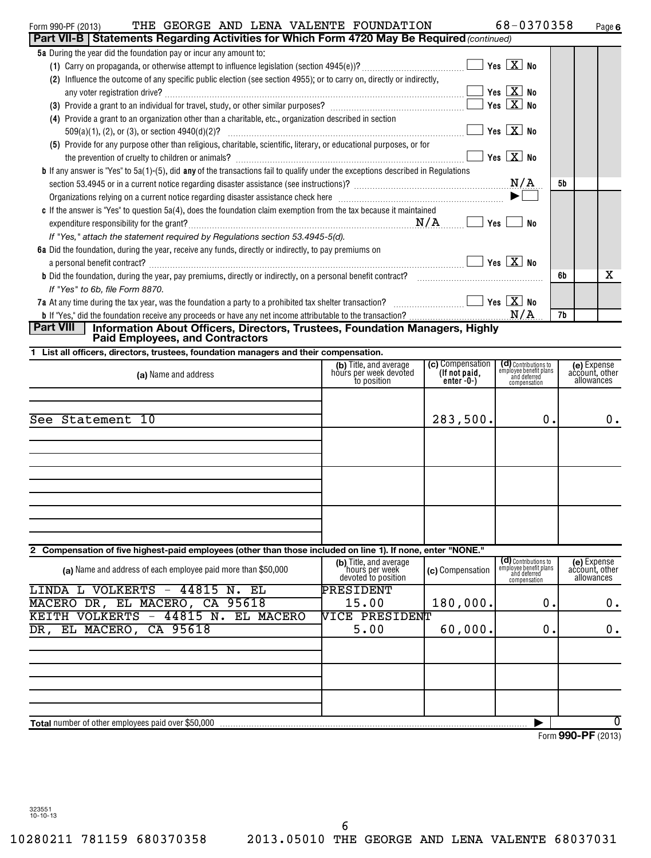| THE GEORGE AND LENA VALENTE FOUNDATION<br>Form 990-PF (2013)                                                                                                                        |                                                  |                  | 68-0370358                                                     | Page 6                        |  |
|-------------------------------------------------------------------------------------------------------------------------------------------------------------------------------------|--------------------------------------------------|------------------|----------------------------------------------------------------|-------------------------------|--|
| Part VII-B   Statements Regarding Activities for Which Form 4720 May Be Required (continued)<br>5a During the year did the foundation pay or incur any amount to:                   |                                                  |                  |                                                                |                               |  |
|                                                                                                                                                                                     |                                                  |                  |                                                                |                               |  |
| (2) Influence the outcome of any specific public election (see section 4955); or to carry on, directly or indirectly,                                                               |                                                  |                  |                                                                |                               |  |
|                                                                                                                                                                                     |                                                  |                  | $\Box$ Yes $\boxed{\textbf{X}}$ No                             |                               |  |
|                                                                                                                                                                                     |                                                  |                  |                                                                |                               |  |
| (4) Provide a grant to an organization other than a charitable, etc., organization described in section                                                                             |                                                  |                  |                                                                |                               |  |
|                                                                                                                                                                                     |                                                  |                  |                                                                |                               |  |
| (5) Provide for any purpose other than religious, charitable, scientific, literary, or educational purposes, or for                                                                 |                                                  |                  |                                                                |                               |  |
|                                                                                                                                                                                     |                                                  |                  |                                                                |                               |  |
| <b>b</b> If any answer is "Yes" to 5a(1)-(5), did any of the transactions fail to qualify under the exceptions described in Regulations                                             |                                                  |                  |                                                                |                               |  |
|                                                                                                                                                                                     |                                                  |                  |                                                                | 5b                            |  |
| Organizations relying on a current notice regarding disaster assistance check here manufactured and contain the settlement of $\blacktriangleright$                                 |                                                  |                  |                                                                |                               |  |
| c If the answer is "Yes" to question 5a(4), does the foundation claim exemption from the tax because it maintained                                                                  |                                                  |                  |                                                                |                               |  |
|                                                                                                                                                                                     |                                                  |                  |                                                                |                               |  |
| If "Yes," attach the statement required by Regulations section 53.4945-5(d).                                                                                                        |                                                  |                  |                                                                |                               |  |
| 6a Did the foundation, during the year, receive any funds, directly or indirectly, to pay premiums on                                                                               |                                                  |                  |                                                                |                               |  |
|                                                                                                                                                                                     |                                                  |                  |                                                                |                               |  |
|                                                                                                                                                                                     |                                                  |                  |                                                                | x<br>6b                       |  |
| If "Yes" to 6b, file Form 8870.                                                                                                                                                     |                                                  |                  |                                                                |                               |  |
| 7a At any time during the tax year, was the foundation a party to a prohibited tax shelter transaction? $\ldots\ldots\ldots\ldots\ldots\ldots\qquad \,$ Yes $\,[\,\texttt{X}\,]$ No |                                                  |                  |                                                                |                               |  |
|                                                                                                                                                                                     |                                                  |                  |                                                                | 7b                            |  |
| Part VIII  <br>Information About Officers, Directors, Trustees, Foundation Managers, Highly                                                                                         |                                                  |                  |                                                                |                               |  |
| <b>Paid Employees, and Contractors</b>                                                                                                                                              |                                                  |                  |                                                                |                               |  |
| 1 List all officers, directors, trustees, foundation managers and their compensation.                                                                                               |                                                  | (c) Compensation |                                                                |                               |  |
| (a) Name and address                                                                                                                                                                | (b) Title, and average<br>hours per week devoted | (If not paid,    | (d) Contributions to<br>employee benefit plans<br>and deferred | (e) Expense<br>account, other |  |
|                                                                                                                                                                                     | to position                                      | `enter'-0-)      | compensation                                                   | allowances                    |  |
|                                                                                                                                                                                     |                                                  |                  |                                                                |                               |  |
|                                                                                                                                                                                     |                                                  |                  |                                                                |                               |  |
| See Statement 10                                                                                                                                                                    |                                                  | 283,500.         | 0.                                                             | $0$ .                         |  |
|                                                                                                                                                                                     |                                                  |                  |                                                                |                               |  |
|                                                                                                                                                                                     |                                                  |                  |                                                                |                               |  |
|                                                                                                                                                                                     |                                                  |                  |                                                                |                               |  |
|                                                                                                                                                                                     |                                                  |                  |                                                                |                               |  |
|                                                                                                                                                                                     |                                                  |                  |                                                                |                               |  |
|                                                                                                                                                                                     |                                                  |                  |                                                                |                               |  |
|                                                                                                                                                                                     |                                                  |                  |                                                                |                               |  |
|                                                                                                                                                                                     |                                                  |                  |                                                                |                               |  |
| 2 Compensation of five highest-paid employees (other than those included on line 1). If none, enter "NONE."                                                                         |                                                  |                  |                                                                |                               |  |
|                                                                                                                                                                                     | (b) Title, and average                           |                  | (d) Contributions to                                           | (e) Expense<br>account, other |  |
| (a) Name and address of each employee paid more than \$50,000                                                                                                                       | hours per week<br>devoted to position            | (c) Compensation | employee benefit plans<br>and deferred<br>compensation         | allowances                    |  |
| LINDA L VOLKERTS - 44815 N. EL                                                                                                                                                      | PRESIDENT                                        |                  |                                                                |                               |  |
| MACERO DR, EL MACERO, CA 95618                                                                                                                                                      | 15.00                                            | 180,000.         | 0.                                                             | 0.                            |  |
| KEITH VOLKERTS -<br>44815 N.<br>EL MACERO                                                                                                                                           | VICE PRESIDENT                                   |                  |                                                                |                               |  |
| EL MACERO,<br>CA 95618<br>5.00<br>60,000.<br>0.<br>DR,                                                                                                                              |                                                  |                  |                                                                |                               |  |
|                                                                                                                                                                                     |                                                  |                  |                                                                | 0.                            |  |
|                                                                                                                                                                                     |                                                  |                  |                                                                |                               |  |
|                                                                                                                                                                                     |                                                  |                  |                                                                |                               |  |
|                                                                                                                                                                                     |                                                  |                  |                                                                |                               |  |
|                                                                                                                                                                                     |                                                  |                  |                                                                |                               |  |
|                                                                                                                                                                                     |                                                  |                  |                                                                |                               |  |
| <b>Total number of other employees paid over \$50,000</b>                                                                                                                           |                                                  |                  |                                                                | 0                             |  |
|                                                                                                                                                                                     |                                                  |                  |                                                                | $Form$ QQQ_DE (2012)          |  |

Form **990-PF** (2013)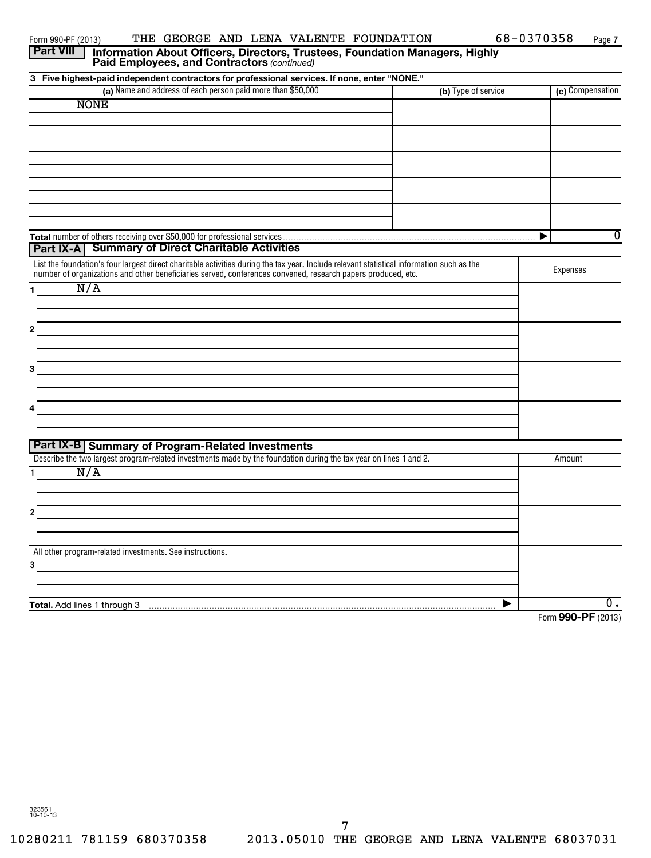| <b>Part VIII</b><br>Information About Officers, Directors, Trustees, Foundation Managers, Highly<br>Paid Employees, and Contractors (continued) |                     |                     |
|-------------------------------------------------------------------------------------------------------------------------------------------------|---------------------|---------------------|
| 3 Five highest-paid independent contractors for professional services. If none, enter "NONE."                                                   |                     |                     |
| (a) Name and address of each person paid more than \$50,000                                                                                     | (b) Type of service | (c) Compensation    |
| <b>NONE</b>                                                                                                                                     |                     |                     |
|                                                                                                                                                 |                     |                     |
|                                                                                                                                                 |                     |                     |
|                                                                                                                                                 |                     |                     |
|                                                                                                                                                 |                     |                     |
|                                                                                                                                                 |                     |                     |
|                                                                                                                                                 |                     |                     |
|                                                                                                                                                 |                     |                     |
|                                                                                                                                                 |                     |                     |
|                                                                                                                                                 |                     | $\overline{0}$<br>▶ |
| Part IX-A   Summary of Direct Charitable Activities                                                                                             |                     |                     |
| List the foundation's four largest direct charitable activities during the tax year. Include relevant statistical information such as the       |                     | Expenses            |
| number of organizations and other beneficiaries served, conferences convened, research papers produced, etc.                                    |                     |                     |
| N/A<br>1.                                                                                                                                       |                     |                     |
|                                                                                                                                                 |                     |                     |
| 2                                                                                                                                               |                     |                     |
|                                                                                                                                                 |                     |                     |
|                                                                                                                                                 |                     |                     |
| з                                                                                                                                               |                     |                     |
|                                                                                                                                                 |                     |                     |
|                                                                                                                                                 |                     |                     |
|                                                                                                                                                 |                     |                     |
|                                                                                                                                                 |                     |                     |
| Part IX-B Summary of Program-Related Investments                                                                                                |                     |                     |
| Describe the two largest program-related investments made by the foundation during the tax year on lines 1 and 2.                               |                     | Amount              |
| N/A                                                                                                                                             |                     |                     |
|                                                                                                                                                 |                     |                     |
|                                                                                                                                                 |                     |                     |
|                                                                                                                                                 |                     |                     |
|                                                                                                                                                 |                     |                     |
| All other program-related investments. See instructions.                                                                                        |                     |                     |
| 3                                                                                                                                               |                     |                     |
|                                                                                                                                                 |                     |                     |
|                                                                                                                                                 |                     |                     |
| Total. Add lines 1 through 3                                                                                                                    | ▶                   | $\overline{0}$ .    |
|                                                                                                                                                 |                     | Form 990-PF (2013)  |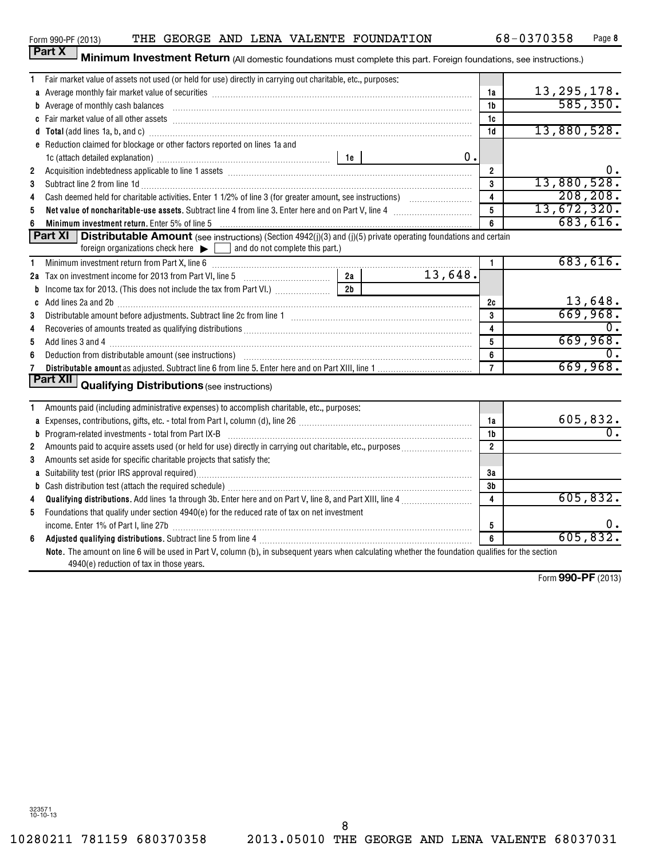**Part X** 

Form 990-PF (2013) THE GEORGE AND LENA VALENTE FOUNDATION  $68-0370358$  Page

| Minimum Investment Return (All domestic foundations must complete this part. Foreign foundations, see instructions.) |  |
|----------------------------------------------------------------------------------------------------------------------|--|

|                | Fair market value of assets not used (or held for use) directly in carrying out charitable, etc., purposes:                                                                                                                    |                 |         |                         |                                |
|----------------|--------------------------------------------------------------------------------------------------------------------------------------------------------------------------------------------------------------------------------|-----------------|---------|-------------------------|--------------------------------|
|                | a Average monthly fair market value of securities [111] match material match and a securities and a securities                                                                                                                 |                 |         | 1a                      | $\frac{13,295,178.}{585,350.}$ |
|                | b Average of monthly cash balances <b>constructed and all and all and all an</b> Average of monthly cash balances                                                                                                              |                 |         | 1b                      |                                |
|                |                                                                                                                                                                                                                                |                 |         | 1c                      |                                |
|                | d Total (add lines 1a, b, and c) Mathematical Annual Contract and Total (add lines 1a, b, and c)                                                                                                                               |                 |         | 1d                      | 13,880,528.                    |
|                | e Reduction claimed for blockage or other factors reported on lines 1a and                                                                                                                                                     |                 |         |                         |                                |
|                |                                                                                                                                                                                                                                |                 | 0.      |                         |                                |
| $\overline{2}$ | Acquisition indebtedness applicable to line 1 assets [11] matter contains and a set of the container and a set of the container and a set of the container and a set of the container and a set of the container and a set of  |                 |         | $\overline{2}$          | 0.                             |
| 3              | Subtract line 2 from line 1d <b>matures and the contract of the 1d</b> matures and the 1d matures and the 2 from line 1d                                                                                                       |                 |         | 3                       | 13,880,528.                    |
| 4              |                                                                                                                                                                                                                                |                 |         | $\overline{\mathbf{4}}$ | 208, 208.                      |
| 5              | Net value of noncharitable-use assets. Subtract line 4 from line 3. Enter here and on Part V, line 4                                                                                                                           |                 |         | 5                       | 13,672,320.                    |
| 6              | Minimum investment return. Enter 5% of line 5 [11] Minimum and the content of the state of the state of the state of the state of the state of the state of the state of the state of the state of the state of the state of t |                 |         | 6                       | 683,616.                       |
|                | <b>Part XI</b>   Distributable Amount (see instructions) (Section 4942(j)(3) and (j)(5) private operating foundations and certain                                                                                              |                 |         |                         |                                |
|                | foreign organizations check here $\blacktriangleright$ and do not complete this part.)                                                                                                                                         |                 |         |                         |                                |
| 1              | Minimum investment return from Part X, line 6 [11] Minimum material contracts and the Minimum investment return                                                                                                                |                 |         | $\mathbf{1}$            | 683,616.                       |
|                |                                                                                                                                                                                                                                |                 | 13,648. |                         |                                |
| b              | Income tax for 2013. (This does not include the tax from Part VI.)                                                                                                                                                             | $\overline{2b}$ |         |                         |                                |
| C              | Add lines 2a and 2b [11] matter contract the contract of the contract of the contract of the contract of the contract of the contract of the contract of the contract of the contract of the contract of the contract of the c |                 |         | 2c                      | 13,648.                        |
| 3              |                                                                                                                                                                                                                                |                 |         | 3                       | 669,968.                       |
| 4              |                                                                                                                                                                                                                                |                 |         | 4                       | $\overline{0}$ .               |
| 5              |                                                                                                                                                                                                                                |                 |         | 5                       | 669,968.                       |
| 6              | Deduction from distributable amount (see instructions) with an amount contained and an amount of the contained                                                                                                                 |                 |         | 6                       | 0.                             |
| 7              |                                                                                                                                                                                                                                |                 |         | $\overline{7}$          | 669,968.                       |
|                | Part XII<br><b>Qualifying Distributions (see instructions)</b>                                                                                                                                                                 |                 |         |                         |                                |
|                |                                                                                                                                                                                                                                |                 |         |                         |                                |
| 1              | Amounts paid (including administrative expenses) to accomplish charitable, etc., purposes:                                                                                                                                     |                 |         |                         |                                |
| a              | Expenses, contributions, gifts, etc. - total from Part I, column (d), line 26 [11] [11] content material contract material contract material contract material contract material contract material contract material contract  |                 |         | 1a                      | 605,832.                       |
|                |                                                                                                                                                                                                                                |                 |         | 1 <sub>b</sub>          |                                |
| $\overline{2}$ |                                                                                                                                                                                                                                |                 |         | $\overline{2}$          |                                |
| 3              | Amounts set aside for specific charitable projects that satisfy the:                                                                                                                                                           |                 |         |                         |                                |
|                |                                                                                                                                                                                                                                |                 |         | 3a                      |                                |
|                |                                                                                                                                                                                                                                |                 |         | 3b                      |                                |
| 4              |                                                                                                                                                                                                                                |                 |         | $\overline{4}$          | 605, 832.                      |
| 5              | Foundations that qualify under section 4940(e) for the reduced rate of tax on net investment                                                                                                                                   |                 |         |                         |                                |
|                | income. Enter 1% of Part I, line 27b [111] [12] [12] [12] [12] [12] [13] [13] [14] [14] [15] [15] [15] [15] [1                                                                                                                 |                 |         | 5                       | υ.                             |
| 6              | Adjusted qualifying distributions. Subtract line 5 from line 4 [111] Manuscription material contracts and all the set of the Adjusted Qualitying distributions. Subtract line 5 from line 4 [11] Manuscription materials and a |                 |         | 6                       | 605,832.                       |
|                | Note. The amount on line 6 will be used in Part V, column (b), in subsequent years when calculating whether the foundation qualifies for the section                                                                           |                 |         |                         |                                |
|                | 4940(e) reduction of tax in those years.                                                                                                                                                                                       |                 |         |                         |                                |
|                |                                                                                                                                                                                                                                |                 |         |                         | $\sim$ $\sim$ $\sim$ $\sim$    |

Form **990-PF** (2013)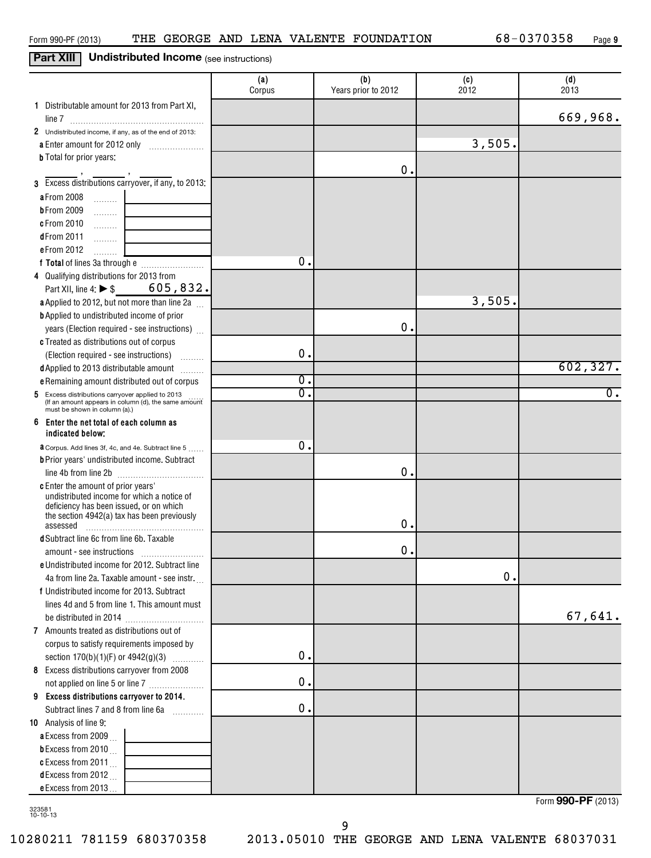# **Part XIII** Undistributed Income (see instructions)

|                                                                                       | (a)<br>Corpus    | (b)<br>Years prior to 2012 | (c)<br>2012 | (d)<br>2013      |
|---------------------------------------------------------------------------------------|------------------|----------------------------|-------------|------------------|
| 1 Distributable amount for 2013 from Part XI,                                         |                  |                            |             |                  |
|                                                                                       |                  |                            |             | 669,968.         |
| 2 Undistributed income, if any, as of the end of 2013:                                |                  |                            |             |                  |
| a Enter amount for 2012 only                                                          |                  |                            | 3,505.      |                  |
| <b>b</b> Total for prior years:                                                       |                  |                            |             |                  |
|                                                                                       |                  | О.                         |             |                  |
| 3 Excess distributions carryover, if any, to 2013:                                    |                  |                            |             |                  |
| <b>a</b> From 2008<br>.                                                               |                  |                            |             |                  |
| <b>bFrom 2009</b><br>1.1.1.1.1.1.1                                                    |                  |                            |             |                  |
| c From 2010<br>1.1.1.1.1.1.1                                                          |                  |                            |             |                  |
| dFrom 2011<br>.                                                                       |                  |                            |             |                  |
| e From 2012                                                                           |                  |                            |             |                  |
|                                                                                       | $\mathbf 0$ .    |                            |             |                  |
| 4 Qualifying distributions for 2013 from                                              |                  |                            |             |                  |
| Part XII, line 4: $\triangleright$ \$ 605, 832.                                       |                  |                            |             |                  |
| a Applied to 2012, but not more than line 2a                                          |                  |                            | 3,505.      |                  |
| <b>b</b> Applied to undistributed income of prior                                     |                  |                            |             |                  |
| years (Election required - see instructions)                                          |                  | О.                         |             |                  |
| c Treated as distributions out of corpus                                              |                  |                            |             |                  |
| (Election required - see instructions)<br><b>Barbara</b>                              | 0.               |                            |             |                  |
| d Applied to 2013 distributable amount                                                |                  |                            |             | 602, 327.        |
| e Remaining amount distributed out of corpus                                          | $\overline{0}$ . |                            |             |                  |
| 5 Excess distributions carryover applied to 2013                                      | $\overline{0}$   |                            |             | $\overline{0}$ . |
| (If an amount appears in column (d), the same amount<br>must be shown in column (a).) |                  |                            |             |                  |
| 6<br>Enter the net total of each column as                                            |                  |                            |             |                  |
| indicated below;                                                                      |                  |                            |             |                  |
| <b>a</b> Corpus. Add lines 3f, 4c, and 4e. Subtract line 5                            | $\mathbf 0$ .    |                            |             |                  |
| <b>b</b> Prior years' undistributed income. Subtract                                  |                  |                            |             |                  |
| line 4b from line 2b                                                                  |                  | О.                         |             |                  |
| c Enter the amount of prior years'<br>undistributed income for which a notice of      |                  |                            |             |                  |
| deficiency has been issued, or on which                                               |                  |                            |             |                  |
| the section 4942(a) tax has been previously                                           |                  |                            |             |                  |
| assessed                                                                              |                  | О.                         |             |                  |
| <b>d</b> Subtract line 6c from line 6b. Taxable                                       |                  |                            |             |                  |
| amount - see instructions                                                             |                  | О.                         |             |                  |
| e Undistributed income for 2012. Subtract line                                        |                  |                            |             |                  |
| 4a from line 2a. Taxable amount - see instr.                                          |                  |                            | 0.          |                  |
| f Undistributed income for 2013. Subtract                                             |                  |                            |             |                  |
| lines 4d and 5 from line 1. This amount must                                          |                  |                            |             | 67,641.          |
|                                                                                       |                  |                            |             |                  |
| 7 Amounts treated as distributions out of                                             |                  |                            |             |                  |
| corpus to satisfy requirements imposed by                                             | $\mathbf 0$ .    |                            |             |                  |
| section $170(b)(1)(F)$ or $4942(g)(3)$                                                |                  |                            |             |                  |
| 8 Excess distributions carryover from 2008                                            | $\mathbf 0$ .    |                            |             |                  |
| not applied on line 5 or line 7                                                       |                  |                            |             |                  |
| 9 Excess distributions carryover to 2014.<br>Subtract lines 7 and 8 from line 6a      | $\mathbf 0$ .    |                            |             |                  |
|                                                                                       |                  |                            |             |                  |
| 10 Analysis of line 9:                                                                |                  |                            |             |                  |
| a Excess from 2009                                                                    |                  |                            |             |                  |
| <b>b</b> Excess from 2010 $\ldots$                                                    |                  |                            |             |                  |
| c Excess from $2011$<br>dExcess from 2012                                             |                  |                            |             |                  |
| e Excess from 2013                                                                    |                  |                            |             |                  |
|                                                                                       |                  |                            |             |                  |

323581 10-10-13

Form **990-PF** (2013)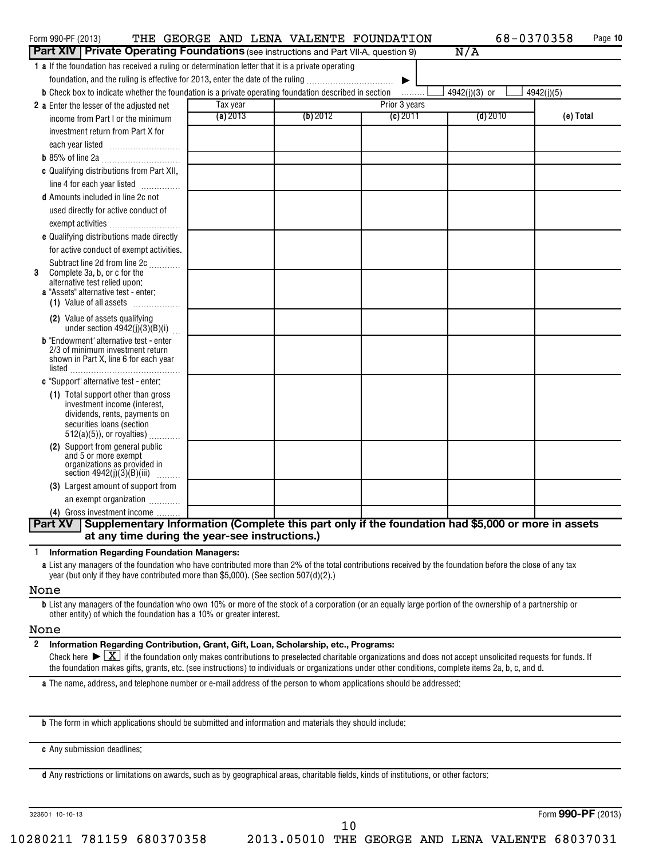| Form 990-PF (2013)                                                                                                                                        |          | THE GEORGE AND LENA VALENTE FOUNDATION |                       | 68-0370358    | Page 10    |
|-----------------------------------------------------------------------------------------------------------------------------------------------------------|----------|----------------------------------------|-----------------------|---------------|------------|
| <b>Part XIV   Private Operating Foundations</b> (see instructions and Part VII-A, question 9)                                                             |          |                                        |                       | N/A           |            |
| 1 a If the foundation has received a ruling or determination letter that it is a private operating                                                        |          |                                        |                       |               |            |
| foundation, and the ruling is effective for 2013, enter the date of the ruling                                                                            |          |                                        | $\blacktriangleright$ |               |            |
| <b>b</b> Check box to indicate whether the foundation is a private operating foundation described in section                                              |          |                                        | .                     | 4942(j)(3) or | 4942(j)(5) |
| 2 a Enter the lesser of the adjusted net                                                                                                                  | Tax year |                                        | Prior 3 years         |               |            |
| income from Part I or the minimum                                                                                                                         | (a) 2013 | (b) 2012                               | (c) 2011              | $(d)$ 2010    | (e) Total  |
| investment return from Part X for                                                                                                                         |          |                                        |                       |               |            |
|                                                                                                                                                           |          |                                        |                       |               |            |
|                                                                                                                                                           |          |                                        |                       |               |            |
| c Qualifying distributions from Part XII,                                                                                                                 |          |                                        |                       |               |            |
| line 4 for each year listed                                                                                                                               |          |                                        |                       |               |            |
| <b>d</b> Amounts included in line 2c not                                                                                                                  |          |                                        |                       |               |            |
| used directly for active conduct of                                                                                                                       |          |                                        |                       |               |            |
| exempt activities                                                                                                                                         |          |                                        |                       |               |            |
| e Qualifying distributions made directly                                                                                                                  |          |                                        |                       |               |            |
| for active conduct of exempt activities.                                                                                                                  |          |                                        |                       |               |            |
| Subtract line 2d from line 2c                                                                                                                             |          |                                        |                       |               |            |
| Complete 3a, b, or c for the<br>3                                                                                                                         |          |                                        |                       |               |            |
| alternative test relied upon:<br>a "Assets" alternative test - enter:                                                                                     |          |                                        |                       |               |            |
| (1) Value of all assets                                                                                                                                   |          |                                        |                       |               |            |
| (2) Value of assets qualifying<br>under section $4942(j)(3)(B)(i)$                                                                                        |          |                                        |                       |               |            |
| <b>b</b> "Endowment" alternative test - enter                                                                                                             |          |                                        |                       |               |            |
| 2/3 of minimum investment return                                                                                                                          |          |                                        |                       |               |            |
| shown in Part X, line 6 for each year<br>$listed \_$                                                                                                      |          |                                        |                       |               |            |
| c "Support" alternative test - enter:                                                                                                                     |          |                                        |                       |               |            |
| (1) Total support other than gross                                                                                                                        |          |                                        |                       |               |            |
| investment income (interest.                                                                                                                              |          |                                        |                       |               |            |
| dividends, rents, payments on<br>securities loans (section                                                                                                |          |                                        |                       |               |            |
| $512(a)(5)$ , or royalties)                                                                                                                               |          |                                        |                       |               |            |
| (2) Support from general public                                                                                                                           |          |                                        |                       |               |            |
| and 5 or more exempt<br>organizations as provided in                                                                                                      |          |                                        |                       |               |            |
| section $4942(j)(3)(B)(iii)$                                                                                                                              |          |                                        |                       |               |            |
| (3) Largest amount of support from                                                                                                                        |          |                                        |                       |               |            |
| an exempt organization                                                                                                                                    |          |                                        |                       |               |            |
| (4) Gross investment income                                                                                                                               |          |                                        |                       |               |            |
| Part XV   Supplementary Information (Complete this part only if the foundation had \$5,000 or more in assets                                              |          |                                        |                       |               |            |
| at any time during the year-see instructions.)                                                                                                            |          |                                        |                       |               |            |
| <b>Information Regarding Foundation Managers:</b><br>1                                                                                                    |          |                                        |                       |               |            |
| a List any managers of the foundation who have contributed more than 2% of the total contributions received by the foundation before the close of any tax |          |                                        |                       |               |            |

**a** List any managers of the foundation who have contributed more than 2% of the total contributions received by the foundation before the close of any tax year (but only if they have contributed more than \$5,000). (See section 507(d)(2).)

None

**b** List any managers of the foundation who own 10% or more of the stock of a corporation (or an equally large portion of the ownership of a partnership or other entity) of which the foundation has a 10% or greater interest.

### None

**2 Information Regarding Contribution, Grant, Gift, Loan, Scholarship, etc., Programs:** Final check here  $\sum_{i=1}^{\infty}$  if the foundation only makes contributions to preselected charitable organizations and does not accept unsolicited requests for funds. If<br>the foundation  $\sum_{i=1}^{\infty}$  if the foundation of the foundation makes gifts, grants, etc. (see instructions) to individuals or organizations under other conditions, complete items 2a, b, c, and d.

10

**a** The name, address, and telephone number or e-mail address of the person to whom applications should be addressed:

**b** The form in which applications should be submitted and information and materials they should include:

**c** Any submission deadlines:

**d** Any restrictions or limitations on awards, such as by geographical areas, charitable fields, kinds of institutions, or other factors:

323601 10-10-13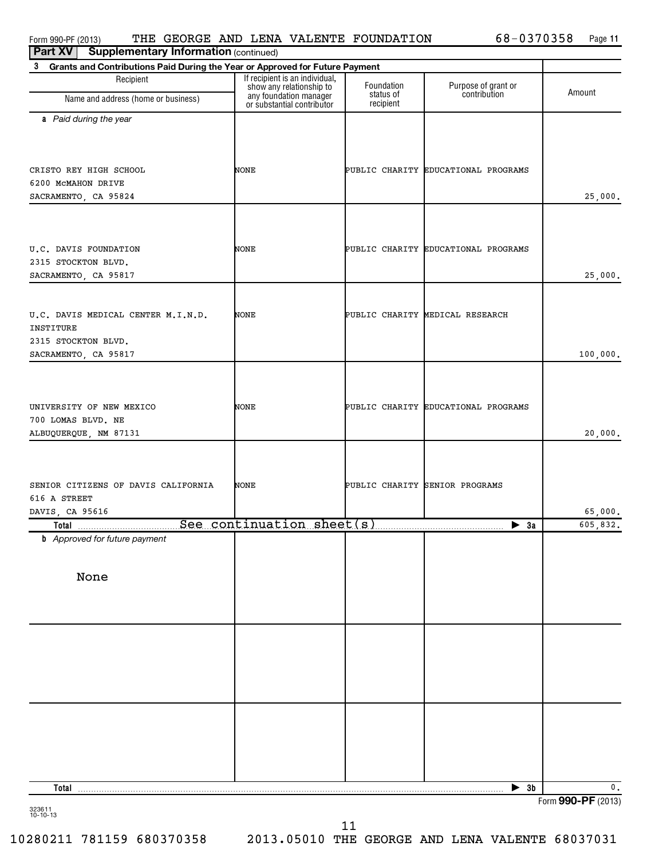| <b>Fail AV</b><br>supplementary important on (continued)                                       |                                                            |                         |                                     |                    |
|------------------------------------------------------------------------------------------------|------------------------------------------------------------|-------------------------|-------------------------------------|--------------------|
| 3<br>Grants and Contributions Paid During the Year or Approved for Future Payment              |                                                            |                         |                                     |                    |
| Recipient                                                                                      | If recipient is an individual,<br>show any relationship to | Foundation<br>status of | Purpose of grant or<br>contribution | Amount             |
| Name and address (home or business)                                                            | any foundation manager<br>or substantial contributor       | recipient               |                                     |                    |
| a Paid during the year                                                                         |                                                            |                         |                                     |                    |
| CRISTO REY HIGH SCHOOL<br>6200 McMAHON DRIVE<br>SACRAMENTO, CA 95824                           | NONE                                                       |                         | PUBLIC CHARITY EDUCATIONAL PROGRAMS | 25,000.            |
| U.C. DAVIS FOUNDATION<br>2315 STOCKTON BLVD.<br>SACRAMENTO, CA 95817                           | NONE                                                       |                         | PUBLIC CHARITY EDUCATIONAL PROGRAMS | 25,000.            |
| U.C. DAVIS MEDICAL CENTER M.I.N.D.<br>INSTITURE<br>2315 STOCKTON BLVD.<br>SACRAMENTO, CA 95817 | NONE                                                       |                         | PUBLIC CHARITY MEDICAL RESEARCH     | 100,000.           |
| UNIVERSITY OF NEW MEXICO<br>700 LOMAS BLVD. NE<br>ALBUQUERQUE, NM 87131                        | NONE                                                       |                         | PUBLIC CHARITY EDUCATIONAL PROGRAMS | 20,000.            |
| SENIOR CITIZENS OF DAVIS CALIFORNIA<br>616 A STREET<br>DAVIS, CA 95616                         | NONE                                                       |                         | PUBLIC CHARITY SENIOR PROGRAMS      | 65,000.            |
| See continuation sheet(s)<br>Total                                                             |                                                            |                         | $\blacktriangleright$ 3a            | 605,832.           |
| <b>b</b> Approved for future payment<br>None                                                   |                                                            |                         |                                     |                    |
| <b>Total</b>                                                                                   |                                                            |                         | $\blacktriangleright$ 3b            | 0.                 |
|                                                                                                |                                                            |                         |                                     | Form 990-PF (2013) |

323611 10-10-13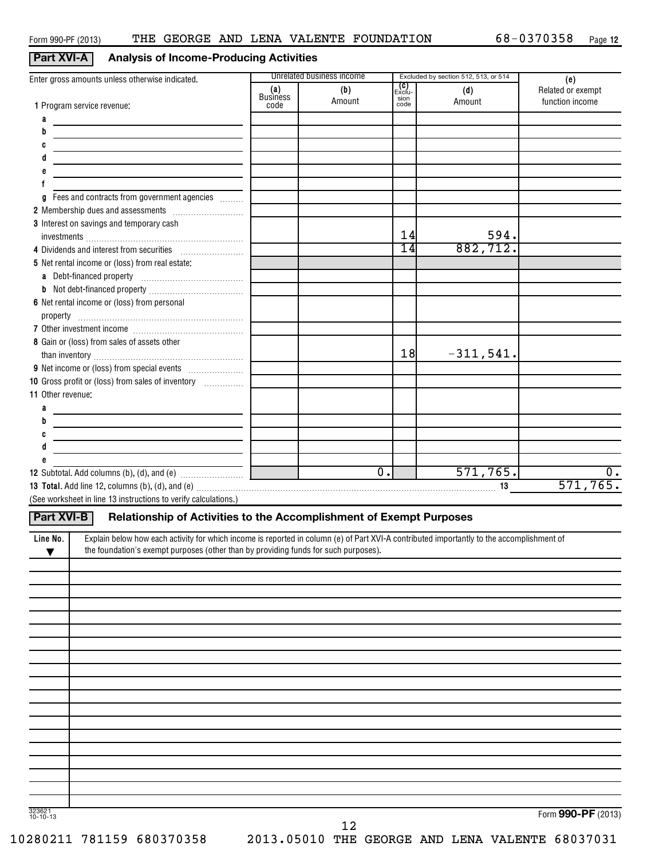# **Part XVI-A Analysis of Income-Producing Activities**

| Enter gross amounts unless otherwise indicated.                                                                                                                                                                                |                                | Unrelated business income |                                      | Excluded by section 512, 513, or 514 | (e)                                  |
|--------------------------------------------------------------------------------------------------------------------------------------------------------------------------------------------------------------------------------|--------------------------------|---------------------------|--------------------------------------|--------------------------------------|--------------------------------------|
| 1 Program service revenue:                                                                                                                                                                                                     | (a)<br><b>Business</b><br>code | (b)<br>Amount             | <b>(C)</b><br>Exclu-<br>sion<br>code | (d)<br>Amount                        | Related or exempt<br>function income |
| a                                                                                                                                                                                                                              |                                |                           |                                      |                                      |                                      |
|                                                                                                                                                                                                                                |                                |                           |                                      |                                      |                                      |
|                                                                                                                                                                                                                                |                                |                           |                                      |                                      |                                      |
| the control of the control of the control of the control of the control of the control of the control of the control of the control of the control of the control of the control of the control of the control of the control  |                                |                           |                                      |                                      |                                      |
| <u> 1989 - Johann Stein, mars et al. (b. 1989)</u>                                                                                                                                                                             |                                |                           |                                      |                                      |                                      |
|                                                                                                                                                                                                                                |                                |                           |                                      |                                      |                                      |
|                                                                                                                                                                                                                                |                                |                           |                                      |                                      |                                      |
| Fees and contracts from government agencies<br>a                                                                                                                                                                               |                                |                           |                                      |                                      |                                      |
|                                                                                                                                                                                                                                |                                |                           |                                      |                                      |                                      |
| 3 Interest on savings and temporary cash                                                                                                                                                                                       |                                |                           |                                      |                                      |                                      |
|                                                                                                                                                                                                                                |                                |                           | 14                                   | 594.                                 |                                      |
|                                                                                                                                                                                                                                |                                |                           | 14                                   | 882, 712.                            |                                      |
| 5 Net rental income or (loss) from real estate:                                                                                                                                                                                |                                |                           |                                      |                                      |                                      |
|                                                                                                                                                                                                                                |                                |                           |                                      |                                      |                                      |
|                                                                                                                                                                                                                                |                                |                           |                                      |                                      |                                      |
| 6 Net rental income or (loss) from personal                                                                                                                                                                                    |                                |                           |                                      |                                      |                                      |
|                                                                                                                                                                                                                                |                                |                           |                                      |                                      |                                      |
|                                                                                                                                                                                                                                |                                |                           |                                      |                                      |                                      |
| 8 Gain or (loss) from sales of assets other                                                                                                                                                                                    |                                |                           |                                      |                                      |                                      |
|                                                                                                                                                                                                                                |                                |                           | 18                                   | $-311,541.$                          |                                      |
|                                                                                                                                                                                                                                |                                |                           |                                      |                                      |                                      |
| 10 Gross profit or (loss) from sales of inventory                                                                                                                                                                              |                                |                           |                                      |                                      |                                      |
| 11 Other revenue:                                                                                                                                                                                                              |                                |                           |                                      |                                      |                                      |
|                                                                                                                                                                                                                                |                                |                           |                                      |                                      |                                      |
|                                                                                                                                                                                                                                |                                |                           |                                      |                                      |                                      |
|                                                                                                                                                                                                                                |                                |                           |                                      |                                      |                                      |
| <u> 1980 - Johann Barn, mars eta bainar eta baina eta baina eta baina eta baina eta baina eta baina eta baina e</u>                                                                                                            |                                |                           |                                      |                                      |                                      |
| <u> 1989 - Johann Stein, mars eta biztanleria (</u>                                                                                                                                                                            |                                |                           |                                      |                                      |                                      |
|                                                                                                                                                                                                                                |                                | $\overline{0}$ .          |                                      | 571, 765.                            | 0.                                   |
|                                                                                                                                                                                                                                |                                |                           |                                      |                                      | 571,765.                             |
| 13 Total. Add line 12, columns (b), (d), and (e) matches and contain the control of the control of the control of the control of the control of the control of the control of the control of the control of the control of the |                                |                           |                                      |                                      |                                      |
| (See worksheet in line 13 instructions to verify calculations.)                                                                                                                                                                |                                |                           |                                      |                                      |                                      |
| Relationship of Activities to the Accomplishment of Exempt Purposes<br>Part XVI-B                                                                                                                                              |                                |                           |                                      |                                      |                                      |
|                                                                                                                                                                                                                                |                                |                           |                                      |                                      |                                      |
| Explain below how each activity for which income is reported in column (e) of Part XVI-A contributed importantly to the accomplishment of<br>Line No.                                                                          |                                |                           |                                      |                                      |                                      |
| the foundation's exempt purposes (other than by providing funds for such purposes).<br>▼                                                                                                                                       |                                |                           |                                      |                                      |                                      |
|                                                                                                                                                                                                                                |                                |                           |                                      |                                      |                                      |
|                                                                                                                                                                                                                                |                                |                           |                                      |                                      |                                      |
|                                                                                                                                                                                                                                |                                |                           |                                      |                                      |                                      |
|                                                                                                                                                                                                                                |                                |                           |                                      |                                      |                                      |
|                                                                                                                                                                                                                                |                                |                           |                                      |                                      |                                      |
|                                                                                                                                                                                                                                |                                |                           |                                      |                                      |                                      |
|                                                                                                                                                                                                                                |                                |                           |                                      |                                      |                                      |
|                                                                                                                                                                                                                                |                                |                           |                                      |                                      |                                      |
|                                                                                                                                                                                                                                |                                |                           |                                      |                                      |                                      |
|                                                                                                                                                                                                                                |                                |                           |                                      |                                      |                                      |
|                                                                                                                                                                                                                                |                                |                           |                                      |                                      |                                      |
|                                                                                                                                                                                                                                |                                |                           |                                      |                                      |                                      |
|                                                                                                                                                                                                                                |                                |                           |                                      |                                      |                                      |
|                                                                                                                                                                                                                                |                                |                           |                                      |                                      |                                      |

323621 10-10-13

Form **990-PF** (2013)

12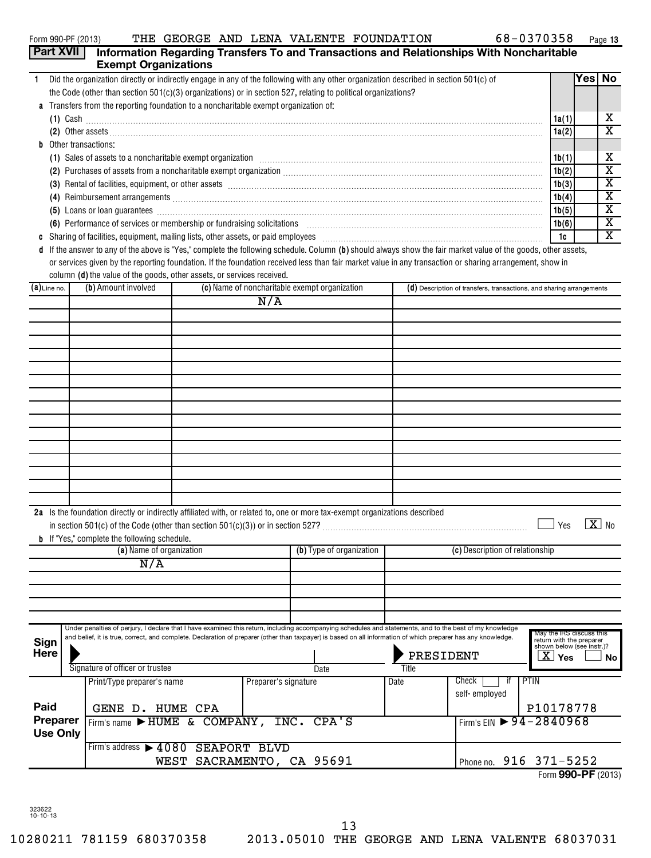| <b>Part XVII</b> |                                                                                                                                                                                                                                                                                                                            |                           |                      |                                               |       | Information Regarding Transfers To and Transactions and Relationships With Noncharitable |                                                      |                         |
|------------------|----------------------------------------------------------------------------------------------------------------------------------------------------------------------------------------------------------------------------------------------------------------------------------------------------------------------------|---------------------------|----------------------|-----------------------------------------------|-------|------------------------------------------------------------------------------------------|------------------------------------------------------|-------------------------|
|                  | <b>Exempt Organizations</b>                                                                                                                                                                                                                                                                                                |                           |                      |                                               |       |                                                                                          |                                                      |                         |
| 1.               | Did the organization directly or indirectly engage in any of the following with any other organization described in section 501(c) of                                                                                                                                                                                      |                           |                      |                                               |       |                                                                                          |                                                      | Yes No                  |
|                  | the Code (other than section $501(c)(3)$ organizations) or in section 527, relating to political organizations?                                                                                                                                                                                                            |                           |                      |                                               |       |                                                                                          |                                                      |                         |
|                  | Transfers from the reporting foundation to a noncharitable exempt organization of:                                                                                                                                                                                                                                         |                           |                      |                                               |       |                                                                                          |                                                      |                         |
|                  | $(1)$ Cash                                                                                                                                                                                                                                                                                                                 |                           |                      |                                               |       |                                                                                          | 1a(1)                                                | x                       |
|                  |                                                                                                                                                                                                                                                                                                                            |                           |                      |                                               |       |                                                                                          | 1a(2)                                                | $\overline{\text{x}}$   |
|                  | <b>b</b> Other transactions:                                                                                                                                                                                                                                                                                               |                           |                      |                                               |       |                                                                                          |                                                      |                         |
|                  | (1) Sales of assets to a noncharitable exempt organization manufactured contained and a set of assets to a noncharitable exempt organization manufactured contained and set of the set of the set of the set of the set of the                                                                                             |                           |                      |                                               |       |                                                                                          | 1b(1)                                                | x                       |
|                  |                                                                                                                                                                                                                                                                                                                            |                           |                      |                                               |       |                                                                                          | 1b(2)                                                | $\overline{\textbf{x}}$ |
|                  | (3) Rental of facilities, equipment, or other assets [1] rentil rentil rentil rentil rentil rentil rentil rentil rentil rentil rentil rentil rentil rentil rentil rentil rentil rentil rentil rentil rentil rentil rentil rent                                                                                             |                           |                      |                                               |       |                                                                                          | 1b(3)                                                | х                       |
|                  |                                                                                                                                                                                                                                                                                                                            |                           |                      |                                               |       |                                                                                          | 1b(4)                                                | $\overline{\textbf{x}}$ |
|                  | (5) Loans or loan guarantees <b>commissions</b> and a construction of the construction of the construction of the construction of the construction of the construction of the construction of the construction of the construction                                                                                         |                           |                      |                                               |       |                                                                                          | 1b(5)                                                | $\overline{\textbf{x}}$ |
|                  | (6) Performance of services or membership or fundraising solicitations [11] match material material material material material material material material material material material material material material material mater                                                                                             |                           |                      |                                               |       |                                                                                          | 1b(6)                                                | $\overline{\textbf{x}}$ |
| C                |                                                                                                                                                                                                                                                                                                                            |                           |                      |                                               |       |                                                                                          | 1c                                                   | x                       |
|                  | d If the answer to any of the above is "Yes," complete the following schedule. Column (b) should always show the fair market value of the goods, other assets,<br>or services given by the reporting foundation. If the foundation received less than fair market value in any transaction or sharing arrangement, show in |                           |                      |                                               |       |                                                                                          |                                                      |                         |
|                  | column (d) the value of the goods, other assets, or services received.                                                                                                                                                                                                                                                     |                           |                      |                                               |       |                                                                                          |                                                      |                         |
| $(a)$ Line no.   | (b) Amount involved                                                                                                                                                                                                                                                                                                        |                           |                      | (c) Name of noncharitable exempt organization |       | (d) Description of transfers, transactions, and sharing arrangements                     |                                                      |                         |
|                  |                                                                                                                                                                                                                                                                                                                            |                           | N/A                  |                                               |       |                                                                                          |                                                      |                         |
|                  |                                                                                                                                                                                                                                                                                                                            |                           |                      |                                               |       |                                                                                          |                                                      |                         |
|                  |                                                                                                                                                                                                                                                                                                                            |                           |                      |                                               |       |                                                                                          |                                                      |                         |
|                  |                                                                                                                                                                                                                                                                                                                            |                           |                      |                                               |       |                                                                                          |                                                      |                         |
|                  |                                                                                                                                                                                                                                                                                                                            |                           |                      |                                               |       |                                                                                          |                                                      |                         |
|                  |                                                                                                                                                                                                                                                                                                                            |                           |                      |                                               |       |                                                                                          |                                                      |                         |
|                  |                                                                                                                                                                                                                                                                                                                            |                           |                      |                                               |       |                                                                                          |                                                      |                         |
|                  |                                                                                                                                                                                                                                                                                                                            |                           |                      |                                               |       |                                                                                          |                                                      |                         |
|                  |                                                                                                                                                                                                                                                                                                                            |                           |                      |                                               |       |                                                                                          |                                                      |                         |
|                  |                                                                                                                                                                                                                                                                                                                            |                           |                      |                                               |       |                                                                                          |                                                      |                         |
|                  |                                                                                                                                                                                                                                                                                                                            |                           |                      |                                               |       |                                                                                          |                                                      |                         |
|                  |                                                                                                                                                                                                                                                                                                                            |                           |                      |                                               |       |                                                                                          |                                                      |                         |
|                  |                                                                                                                                                                                                                                                                                                                            |                           |                      |                                               |       |                                                                                          |                                                      |                         |
|                  |                                                                                                                                                                                                                                                                                                                            |                           |                      |                                               |       |                                                                                          |                                                      |                         |
|                  |                                                                                                                                                                                                                                                                                                                            |                           |                      |                                               |       |                                                                                          |                                                      |                         |
|                  |                                                                                                                                                                                                                                                                                                                            |                           |                      |                                               |       |                                                                                          |                                                      |                         |
|                  | 2a Is the foundation directly or indirectly affiliated with, or related to, one or more tax-exempt organizations described<br><b>b</b> If "Yes," complete the following schedule.                                                                                                                                          |                           |                      |                                               |       |                                                                                          | Yes                                                  | $X$ No                  |
|                  | (a) Name of organization                                                                                                                                                                                                                                                                                                   |                           |                      | (b) Type of organization                      |       | (c) Description of relationship                                                          |                                                      |                         |
|                  | N/A                                                                                                                                                                                                                                                                                                                        |                           |                      |                                               |       |                                                                                          |                                                      |                         |
|                  |                                                                                                                                                                                                                                                                                                                            |                           |                      |                                               |       |                                                                                          |                                                      |                         |
|                  |                                                                                                                                                                                                                                                                                                                            |                           |                      |                                               |       |                                                                                          |                                                      |                         |
|                  |                                                                                                                                                                                                                                                                                                                            |                           |                      |                                               |       |                                                                                          |                                                      |                         |
|                  |                                                                                                                                                                                                                                                                                                                            |                           |                      |                                               |       |                                                                                          |                                                      |                         |
| Sign             | Under penalties of perjury, I declare that I have examined this return, including accompanying schedules and statements, and to the best of my knowledge<br>and belief, it is true, correct, and complete. Declaration of preparer (other than taxpayer) is based on all information of which preparer has any knowledge.  |                           |                      |                                               |       |                                                                                          | May the IRS discuss this<br>return with the preparer |                         |
| <b>Here</b>      |                                                                                                                                                                                                                                                                                                                            |                           |                      |                                               |       | PRESIDENT                                                                                | shown below (see instr.)?<br>$\mathbf{X}$ Yes        | No                      |
|                  | Signature of officer or trustee                                                                                                                                                                                                                                                                                            |                           |                      | Date                                          | Title |                                                                                          |                                                      |                         |
|                  | Print/Type preparer's name                                                                                                                                                                                                                                                                                                 |                           | Preparer's signature |                                               | Date  | PTIN<br>Check<br>if                                                                      |                                                      |                         |
|                  |                                                                                                                                                                                                                                                                                                                            |                           |                      |                                               |       | self-employed                                                                            |                                                      |                         |
| Paid             | GENE D. HUME CPA                                                                                                                                                                                                                                                                                                           |                           |                      |                                               |       |                                                                                          | P10178778                                            |                         |
| Preparer         | Firm's name > HUME & COMPANY, INC. CPA'S                                                                                                                                                                                                                                                                                   |                           |                      |                                               |       | Firm's EIN $\triangleright$ 94 - 2840968                                                 |                                                      |                         |
| <b>Use Only</b>  |                                                                                                                                                                                                                                                                                                                            |                           |                      |                                               |       |                                                                                          |                                                      |                         |
|                  | Firm's address > 4080 SEAPORT BLVD                                                                                                                                                                                                                                                                                         |                           |                      |                                               |       |                                                                                          |                                                      |                         |
|                  |                                                                                                                                                                                                                                                                                                                            | WEST SACRAMENTO, CA 95691 |                      |                                               |       | Phone no. 916 371-5252                                                                   |                                                      |                         |

Form **990-PF** (2013)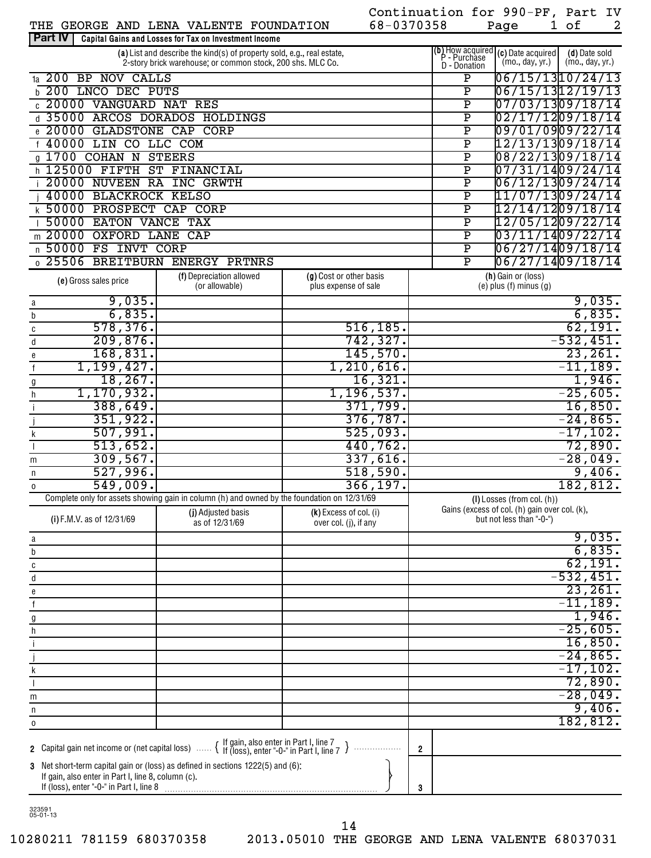|                                                                                                                                                                                           |                                                                                                                                      |                          |            | Continuation for 990-PF, Part IV |                                                    |                                                                                                   |                                  |                   |
|-------------------------------------------------------------------------------------------------------------------------------------------------------------------------------------------|--------------------------------------------------------------------------------------------------------------------------------------|--------------------------|------------|----------------------------------|----------------------------------------------------|---------------------------------------------------------------------------------------------------|----------------------------------|-------------------|
| THE GEORGE AND LENA VALENTE FOUNDATION<br>Part IV                                                                                                                                         |                                                                                                                                      |                          | 68-0370358 |                                  |                                                    | Page                                                                                              | 1 of                             | 2                 |
|                                                                                                                                                                                           | Capital Gains and Losses for Tax on Investment Income                                                                                |                          |            |                                  |                                                    |                                                                                                   |                                  |                   |
|                                                                                                                                                                                           | (a) List and describe the kind(s) of property sold, e.g., real estate,<br>2-story brick warehouse; or common stock, 200 shs. MLC Co. |                          |            | D - Donation                     |                                                    | (b) How acquired $(c)$ Date acquired $\left[\frac{P}{P} - \frac{P}{C} \right]$<br>(mo., day, yr.) | (d) Date sold<br>(mo., day, yr.) |                   |
| 1a 200 BP NOV CALLS                                                                                                                                                                       |                                                                                                                                      |                          |            |                                  | Ρ                                                  | 06/15/1310/24/13                                                                                  |                                  |                   |
| <b>b 200 LNCO DEC PUTS</b>                                                                                                                                                                |                                                                                                                                      |                          |            |                                  | $\overline{\texttt{P}}$                            | 06/15/1312/19/13                                                                                  |                                  |                   |
| c 20000 VANGUARD NAT RES                                                                                                                                                                  |                                                                                                                                      |                          |            |                                  | $\overline{\texttt{P}}$                            | 07/03/1309/18/14                                                                                  |                                  |                   |
| d 35000 ARCOS DORADOS HOLDINGS                                                                                                                                                            |                                                                                                                                      |                          |            |                                  | $\overline{\texttt{P}}$                            | 02/17/1209/18/14                                                                                  |                                  |                   |
| e 20000 GLADSTONE CAP CORP                                                                                                                                                                |                                                                                                                                      |                          |            |                                  | $\overline{\texttt{P}}$                            | 09/01/0909/22/14                                                                                  |                                  |                   |
| f 40000 LIN CO LLC COM                                                                                                                                                                    |                                                                                                                                      |                          |            |                                  | $\overline{\texttt{P}}$                            | 12/13/1309/18/14                                                                                  |                                  |                   |
| g 1700 COHAN N STEERS                                                                                                                                                                     |                                                                                                                                      |                          |            |                                  | $\overline{\texttt{P}}$                            | 08/22/1309/18/14                                                                                  |                                  |                   |
| h 125000 FIFTH ST FINANCIAL                                                                                                                                                               |                                                                                                                                      |                          |            |                                  | $\overline{\texttt{P}}$                            | 07/31/1409/24/14                                                                                  |                                  |                   |
| 20000 NUVEEN RA INC GRWTH<br>40000 BLACKROCK KELSO                                                                                                                                        |                                                                                                                                      |                          |            |                                  | $\overline{\texttt{P}}$<br>$\overline{\texttt{P}}$ | 06/12/1309/24/14<br>11/07/1309/24/14                                                              |                                  |                   |
| k 50000 PROSPECT CAP CORP                                                                                                                                                                 |                                                                                                                                      |                          |            |                                  | $\overline{\texttt{P}}$                            | 12/14/1209/18/14                                                                                  |                                  |                   |
| 50000 EATON VANCE TAX                                                                                                                                                                     |                                                                                                                                      |                          |            |                                  | $\overline{\texttt{P}}$                            | 12/05/1209/22/14                                                                                  |                                  |                   |
| m 20000 OXFORD LANE                                                                                                                                                                       | CAP                                                                                                                                  |                          |            |                                  | $\overline{\text{P}}$                              | 03/11/1409/22/14                                                                                  |                                  |                   |
| n 50000 FS INVT CORP                                                                                                                                                                      |                                                                                                                                      |                          |            |                                  | $\overline{\text{P}}$                              | 06/27/1409/18/14                                                                                  |                                  |                   |
| 0 25506 BREITBURN ENERGY PRTNRS                                                                                                                                                           |                                                                                                                                      |                          |            |                                  | P                                                  | 06/27/1409/18/14                                                                                  |                                  |                   |
|                                                                                                                                                                                           | (f) Depreciation allowed                                                                                                             | (g) Cost or other basis  |            |                                  |                                                    | (h) Gain or (loss)                                                                                |                                  |                   |
| (e) Gross sales price                                                                                                                                                                     | (or allowable)                                                                                                                       | plus expense of sale     |            |                                  |                                                    | $(e)$ plus $(f)$ minus $(g)$                                                                      |                                  |                   |
| 9,035.<br>a                                                                                                                                                                               |                                                                                                                                      |                          |            |                                  |                                                    |                                                                                                   |                                  | 9,035.            |
| 6,835.<br>b                                                                                                                                                                               |                                                                                                                                      |                          |            |                                  |                                                    |                                                                                                   |                                  | 6,835.            |
| 578, 376.<br>C                                                                                                                                                                            |                                                                                                                                      |                          | 516, 185.  |                                  |                                                    |                                                                                                   |                                  | 62,191.           |
| 209,876.<br>d                                                                                                                                                                             |                                                                                                                                      |                          | 742,327.   |                                  |                                                    |                                                                                                   | $-532,451.$                      |                   |
| 168,831.<br>е                                                                                                                                                                             |                                                                                                                                      |                          | 145,570.   |                                  |                                                    |                                                                                                   |                                  | 23,261.           |
| 1,199,427.<br>$\mathsf f$                                                                                                                                                                 |                                                                                                                                      | $1,210,616$ .            |            |                                  |                                                    |                                                                                                   | $-11,189.$                       |                   |
| 18, 267.<br>$\underline{\mathfrak{g}}$<br>1, 170, 932.                                                                                                                                    |                                                                                                                                      | 1,196,537.               | 16,321.    |                                  |                                                    |                                                                                                   | $-25,605.$                       | 1,946.            |
| $\boldsymbol{\mathsf{h}}$<br>388,649.<br>$\mathbf{i}$                                                                                                                                     |                                                                                                                                      |                          | 371,799.   |                                  |                                                    |                                                                                                   |                                  | 16,850.           |
| 351,922.                                                                                                                                                                                  |                                                                                                                                      |                          | 376,787.   |                                  |                                                    |                                                                                                   | $-24,865$ .                      |                   |
| 507,991.<br>k                                                                                                                                                                             |                                                                                                                                      |                          | 525,093.   |                                  |                                                    |                                                                                                   | $-17, 102.$                      |                   |
| 513,652.                                                                                                                                                                                  |                                                                                                                                      |                          | 440,762.   |                                  |                                                    |                                                                                                   |                                  | 72,890.           |
| 309,567.<br>m                                                                                                                                                                             |                                                                                                                                      |                          | 337,616.   |                                  |                                                    |                                                                                                   | $-28,049.$                       |                   |
| 527,996.<br>n                                                                                                                                                                             |                                                                                                                                      |                          | 518,590.   |                                  |                                                    |                                                                                                   |                                  | 9,406.            |
| 549,009.<br>0                                                                                                                                                                             |                                                                                                                                      |                          | 366, 197.  |                                  |                                                    |                                                                                                   | 182,812.                         |                   |
|                                                                                                                                                                                           | Complete only for assets showing gain in column (h) and owned by the foundation on 12/31/69                                          |                          |            |                                  |                                                    | $(I)$ Losses (from col. $(h)$ )                                                                   |                                  |                   |
| (i) F.M.V. as of 12/31/69                                                                                                                                                                 | (j) Adjusted basis                                                                                                                   | $(k)$ Excess of col. (i) |            |                                  |                                                    | Gains (excess of col. (h) gain over col. (k),<br>but not less than "-0-")                         |                                  |                   |
|                                                                                                                                                                                           | as of 12/31/69                                                                                                                       | over col. (j), if any    |            |                                  |                                                    |                                                                                                   |                                  |                   |
| a                                                                                                                                                                                         |                                                                                                                                      |                          |            |                                  |                                                    |                                                                                                   |                                  | 9,035.            |
| b                                                                                                                                                                                         |                                                                                                                                      |                          |            |                                  |                                                    |                                                                                                   |                                  | 6,835.<br>62,191. |
| $\mathtt{C}$<br>$\sf d$                                                                                                                                                                   |                                                                                                                                      |                          |            |                                  |                                                    |                                                                                                   | $-532,451.$                      |                   |
| e                                                                                                                                                                                         |                                                                                                                                      |                          |            |                                  |                                                    |                                                                                                   |                                  | 23,261.           |
| $\mathsf f$                                                                                                                                                                               |                                                                                                                                      |                          |            |                                  |                                                    |                                                                                                   | $-11,189.$                       |                   |
| $9$                                                                                                                                                                                       |                                                                                                                                      |                          |            |                                  |                                                    |                                                                                                   |                                  | 1,946.            |
| $\boldsymbol{\mathsf{h}}$                                                                                                                                                                 |                                                                                                                                      |                          |            |                                  |                                                    |                                                                                                   | $-25,605.$                       |                   |
| $\mathfrak i$                                                                                                                                                                             |                                                                                                                                      |                          |            |                                  |                                                    |                                                                                                   |                                  | 16,850.           |
|                                                                                                                                                                                           |                                                                                                                                      |                          |            |                                  |                                                    |                                                                                                   | $-24,865.$                       |                   |
| $\sf k$                                                                                                                                                                                   |                                                                                                                                      |                          |            |                                  |                                                    |                                                                                                   | $-17, 102.$                      |                   |
|                                                                                                                                                                                           |                                                                                                                                      |                          |            |                                  |                                                    |                                                                                                   |                                  | 72,890.           |
| m                                                                                                                                                                                         |                                                                                                                                      |                          |            |                                  |                                                    |                                                                                                   | $-28,049.$                       |                   |
| n                                                                                                                                                                                         |                                                                                                                                      |                          |            |                                  |                                                    |                                                                                                   |                                  | 9,406.            |
| $\mathsf 0$                                                                                                                                                                               |                                                                                                                                      |                          |            |                                  |                                                    |                                                                                                   | 182,812.                         |                   |
| 2 Capital gain net income or (net capital loss)  { If gain, also enter in Part I, line 7<br>2 Capital gain net income or (net capital loss)  { If (loss), enter "-0-" in Part I, line 7 J |                                                                                                                                      |                          |            |                                  |                                                    |                                                                                                   |                                  |                   |
|                                                                                                                                                                                           |                                                                                                                                      |                          |            | $\overline{2}$                   |                                                    |                                                                                                   |                                  |                   |
| 3 Net short-term capital gain or (loss) as defined in sections 1222(5) and (6):<br>If gain, also enter in Part I, line 8, column (c).                                                     |                                                                                                                                      |                          |            |                                  |                                                    |                                                                                                   |                                  |                   |
|                                                                                                                                                                                           |                                                                                                                                      |                          |            | 3                                |                                                    |                                                                                                   |                                  |                   |
|                                                                                                                                                                                           |                                                                                                                                      |                          |            |                                  |                                                    |                                                                                                   |                                  |                   |

323591 05-01-13

14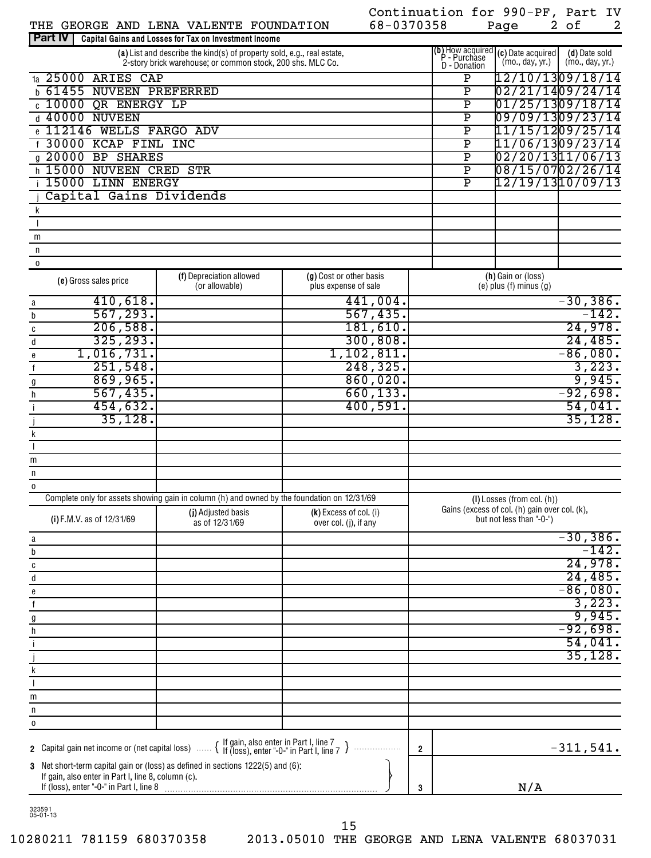|                                                    | THE GEORGE AND LENA VALENTE FOUNDATION                                                      | 68-0370358               |                |                         | Page                                                                                | 2 of<br>$\overline{2}$ |
|----------------------------------------------------|---------------------------------------------------------------------------------------------|--------------------------|----------------|-------------------------|-------------------------------------------------------------------------------------|------------------------|
| <b>Part IV</b>                                     | Capital Gains and Losses for Tax on Investment Income                                       |                          |                |                         |                                                                                     |                        |
|                                                    | (a) List and describe the kind(s) of property sold, e.g., real estate,                      |                          |                |                         | (b) How acquired $(c)$ Date acquired<br>P - Purchase $\binom{m_0 - d_2}{m_0 - d_2}$ | (d) Date sold          |
|                                                    | 2-story brick warehouse, or common stock, 200 shs. MLC Co.                                  |                          |                | D - Donation            | (mo., day, yr.)                                                                     | (mo., day, yr.)        |
| 1a 25000 ARIES CAP                                 |                                                                                             |                          |                | $\overline{\mathbf{P}}$ |                                                                                     | 12/10/1309/18/14       |
| <b>61455 NUVEEN PREFERRED</b><br>h                 |                                                                                             |                          |                | $\overline{\texttt{P}}$ |                                                                                     | 02/21/1409/24/14       |
| c 10000 QR ENERGY LP                               |                                                                                             |                          |                | $\overline{\mathtt{P}}$ |                                                                                     | 01/25/1309/18/14       |
| d 40000 NUVEEN                                     |                                                                                             |                          |                | $\overline{\mathtt{P}}$ |                                                                                     | 09/09/1309/23/14       |
| 112146 WELLS FARGO ADV                             |                                                                                             |                          |                | $\overline{\mathtt{P}}$ |                                                                                     | 11/15/1209/25/14       |
| f 30000 KCAP FINL INC                              |                                                                                             |                          |                | $\overline{\mathtt{P}}$ |                                                                                     | 11/06/1309/23/14       |
| g 20000 BP SHARES                                  |                                                                                             |                          |                | $\overline{\mathtt{P}}$ |                                                                                     | 02/20/1311/06/13       |
| h 15000 NUVEEN CRED                                | STR                                                                                         |                          |                | $\overline{\mathtt{P}}$ |                                                                                     | 08/15/0702/26/14       |
| i 15000 LINN ENERGY                                |                                                                                             |                          |                | $\overline{\texttt{P}}$ |                                                                                     | 12/19/1310/09/13       |
| Capital Gains Dividends                            |                                                                                             |                          |                |                         |                                                                                     |                        |
| k                                                  |                                                                                             |                          |                |                         |                                                                                     |                        |
|                                                    |                                                                                             |                          |                |                         |                                                                                     |                        |
| m                                                  |                                                                                             |                          |                |                         |                                                                                     |                        |
| n                                                  |                                                                                             |                          |                |                         |                                                                                     |                        |
| $\mathbf 0$                                        |                                                                                             |                          |                |                         |                                                                                     |                        |
|                                                    | (f) Depreciation allowed                                                                    | (g) Cost or other basis  |                |                         | (h) Gain or (loss)                                                                  |                        |
| (e) Gross sales price                              | (or allowable)                                                                              | plus expense of sale     |                |                         | $(e)$ plus $(f)$ minus $(g)$                                                        |                        |
| 410,618.                                           |                                                                                             | 441,004.                 |                |                         |                                                                                     | $-30, 386.$            |
| a<br>567, 293.                                     |                                                                                             | 567,435.                 |                |                         |                                                                                     | $-142.$                |
| b<br>206,588.                                      |                                                                                             | 181,610.                 |                |                         |                                                                                     | 24,978.                |
| C                                                  |                                                                                             |                          |                |                         |                                                                                     |                        |
| 325, 293.<br>d                                     |                                                                                             | 300, 808.                |                |                         |                                                                                     | 24,485.                |
| 1,016,731.<br>е                                    |                                                                                             | 1,102,811.               |                |                         |                                                                                     | $-86,080.$             |
| 251,548.                                           |                                                                                             | 248, 325.                |                |                         |                                                                                     | 3,223.                 |
| 869,965.                                           |                                                                                             | 860,020.                 |                |                         |                                                                                     | 9,945.                 |
| 567,435.<br>h                                      |                                                                                             | 660, 133.                |                |                         |                                                                                     | $-92,698.$             |
| 454,632.                                           |                                                                                             | 400,591.                 |                |                         |                                                                                     | 54,041.                |
| 35,128.                                            |                                                                                             |                          |                |                         |                                                                                     | 35,128.                |
| k                                                  |                                                                                             |                          |                |                         |                                                                                     |                        |
|                                                    |                                                                                             |                          |                |                         |                                                                                     |                        |
| m                                                  |                                                                                             |                          |                |                         |                                                                                     |                        |
| n                                                  |                                                                                             |                          |                |                         |                                                                                     |                        |
| $\mathbf 0$                                        |                                                                                             |                          |                |                         |                                                                                     |                        |
|                                                    | Complete only for assets showing gain in column (h) and owned by the foundation on 12/31/69 |                          |                |                         | $(I)$ Losses (from col. $(h)$ )                                                     |                        |
| (i) F.M.V. as of 12/31/69                          | (j) Adjusted basis                                                                          | $(k)$ Excess of col. (i) |                |                         | Gains (excess of col. (h) gain over col. (k),<br>but not less than "-0-")           |                        |
|                                                    | as of 12/31/69                                                                              | over col. (j), if any    |                |                         |                                                                                     |                        |
| a                                                  |                                                                                             |                          |                |                         |                                                                                     | $-30,386.$             |
| b                                                  |                                                                                             |                          |                |                         |                                                                                     | $-142.$                |
| C                                                  |                                                                                             |                          |                |                         |                                                                                     | 24,978.                |
| d                                                  |                                                                                             |                          |                |                         |                                                                                     | 24,485.                |
| e                                                  |                                                                                             |                          |                |                         |                                                                                     | $-86,080.$             |
|                                                    |                                                                                             |                          |                |                         |                                                                                     | 3,223.                 |
|                                                    |                                                                                             |                          |                |                         |                                                                                     | 9,945.                 |
| h                                                  |                                                                                             |                          |                |                         |                                                                                     | $-92,698.$             |
|                                                    |                                                                                             |                          |                |                         |                                                                                     | 54,041.                |
|                                                    |                                                                                             |                          |                |                         |                                                                                     | 35,128.                |
| k                                                  |                                                                                             |                          |                |                         |                                                                                     |                        |
|                                                    |                                                                                             |                          |                |                         |                                                                                     |                        |
| m                                                  |                                                                                             |                          |                |                         |                                                                                     |                        |
| n                                                  |                                                                                             |                          |                |                         |                                                                                     |                        |
| 0                                                  |                                                                                             |                          |                |                         |                                                                                     |                        |
|                                                    |                                                                                             |                          |                |                         |                                                                                     |                        |
|                                                    | 2 Capital gain net income or (net capital loss)  { If gain, also enter in Part I, line 7 J  |                          | $\overline{2}$ |                         |                                                                                     | $-311,541.$            |
|                                                    |                                                                                             |                          |                |                         |                                                                                     |                        |
| If gain, also enter in Part I, line 8, column (c). | 3 Net short-term capital gain or (loss) as defined in sections 1222(5) and (6):             |                          |                |                         |                                                                                     |                        |
| If (loss), enter "-0-" in Part I, line 8           |                                                                                             |                          | 3              |                         | N/A                                                                                 |                        |
|                                                    |                                                                                             |                          |                |                         |                                                                                     |                        |

323591 05-01-13

15

10280211 781159 680370358 2013.05010 THE GEORGE AND LENA VALENTE 68037031

Continuation for 990-PF, Part IV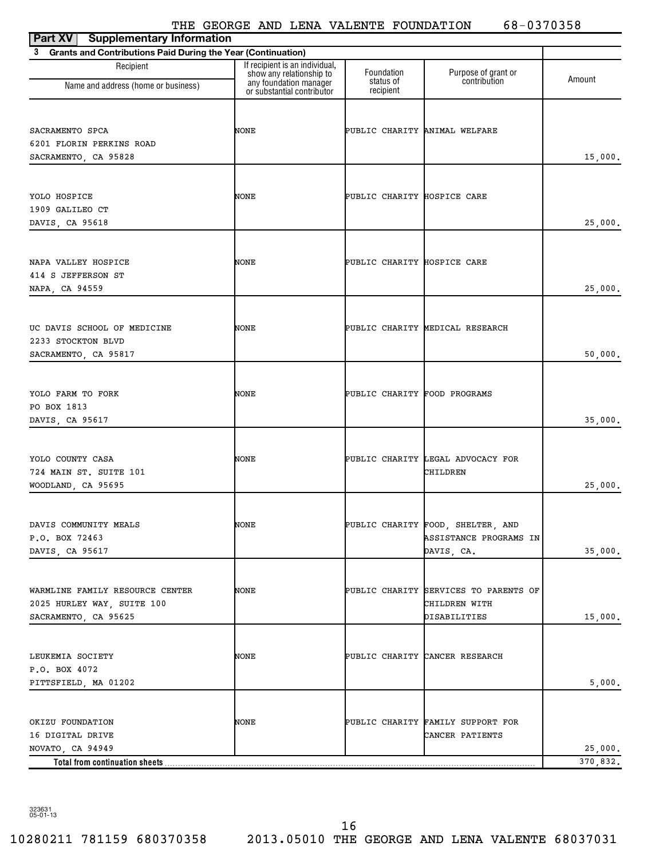# THE GEORGE AND LENA VALENTE FOUNDATION 68-0370358

| Part XV<br><b>Supplementary Information</b>                    |                                                            |                               |                                       |          |
|----------------------------------------------------------------|------------------------------------------------------------|-------------------------------|---------------------------------------|----------|
| 3 Grants and Contributions Paid During the Year (Continuation) |                                                            |                               |                                       |          |
| Recipient                                                      | If recipient is an individual,<br>show any relationship to | Foundation<br>status of       | Purpose of grant or<br>contribution   | Amount   |
| Name and address (home or business)                            | any foundation manager<br>or substantial contributor       | recipient                     |                                       |          |
| SACRAMENTO SPCA                                                | NONE                                                       | PUBLIC CHARITY ANIMAL WELFARE |                                       |          |
| 6201 FLORIN PERKINS ROAD                                       |                                                            |                               |                                       |          |
| SACRAMENTO, CA 95828                                           |                                                            |                               |                                       | 15,000.  |
|                                                                |                                                            |                               |                                       |          |
| YOLO HOSPICE                                                   | NONE                                                       | PUBLIC CHARITY HOSPICE CARE   |                                       |          |
| 1909 GALILEO CT                                                |                                                            |                               |                                       |          |
| DAVIS, CA 95618                                                |                                                            |                               |                                       | 25,000.  |
|                                                                |                                                            |                               |                                       |          |
| NAPA VALLEY HOSPICE                                            | NONE                                                       | PUBLIC CHARITY HOSPICE CARE   |                                       |          |
| 414 S JEFFERSON ST                                             |                                                            |                               |                                       |          |
| NAPA, CA 94559                                                 |                                                            |                               |                                       | 25,000.  |
|                                                                |                                                            |                               |                                       |          |
| UC DAVIS SCHOOL OF MEDICINE                                    | NONE                                                       |                               | PUBLIC CHARITY MEDICAL RESEARCH       |          |
| 2233 STOCKTON BLVD                                             |                                                            |                               |                                       |          |
| SACRAMENTO, CA 95817                                           |                                                            |                               |                                       | 50,000.  |
|                                                                |                                                            |                               |                                       |          |
| YOLO FARM TO FORK                                              | NONE                                                       | PUBLIC CHARITY FOOD PROGRAMS  |                                       |          |
| PO BOX 1813                                                    |                                                            |                               |                                       |          |
| DAVIS, CA 95617                                                |                                                            |                               |                                       | 35,000.  |
|                                                                |                                                            |                               |                                       |          |
| YOLO COUNTY CASA                                               | NONE                                                       |                               | PUBLIC CHARITY LEGAL ADVOCACY FOR     |          |
| 724 MAIN ST. SUITE 101                                         |                                                            |                               | CHILDREN                              |          |
| WOODLAND, CA 95695                                             |                                                            |                               |                                       | 25,000.  |
|                                                                |                                                            |                               |                                       |          |
| DAVIS COMMUNITY MEALS                                          | NONE                                                       |                               | PUBLIC CHARITY FOOD, SHELTER, AND     |          |
| P.O. BOX 72463                                                 |                                                            |                               | ASSISTANCE PROGRAMS IN                |          |
| DAVIS, CA 95617                                                |                                                            |                               | DAVIS, CA.                            | 35,000.  |
|                                                                |                                                            |                               |                                       |          |
| WARMLINE FAMILY RESOURCE CENTER                                | NONE                                                       |                               | PUBLIC CHARITY SERVICES TO PARENTS OF |          |
| 2025 HURLEY WAY, SUITE 100                                     |                                                            |                               | CHILDREN WITH                         |          |
| SACRAMENTO, CA 95625                                           |                                                            |                               | DISABILITIES                          | 15,000.  |
|                                                                |                                                            |                               |                                       |          |
| LEUKEMIA SOCIETY                                               | NONE                                                       |                               | PUBLIC CHARITY CANCER RESEARCH        |          |
| P.O. BOX 4072                                                  |                                                            |                               |                                       |          |
| PITTSFIELD, MA 01202                                           |                                                            |                               |                                       | 5,000.   |
|                                                                |                                                            |                               |                                       |          |
| OKIZU FOUNDATION                                               | NONE                                                       |                               | PUBLIC CHARITY FAMILY SUPPORT FOR     |          |
| 16 DIGITAL DRIVE                                               |                                                            |                               | CANCER PATIENTS                       |          |
| NOVATO, CA 94949                                               |                                                            |                               |                                       | 25,000.  |
| Total from continuation sheets                                 |                                                            |                               |                                       | 370,832. |

323631 05-01-13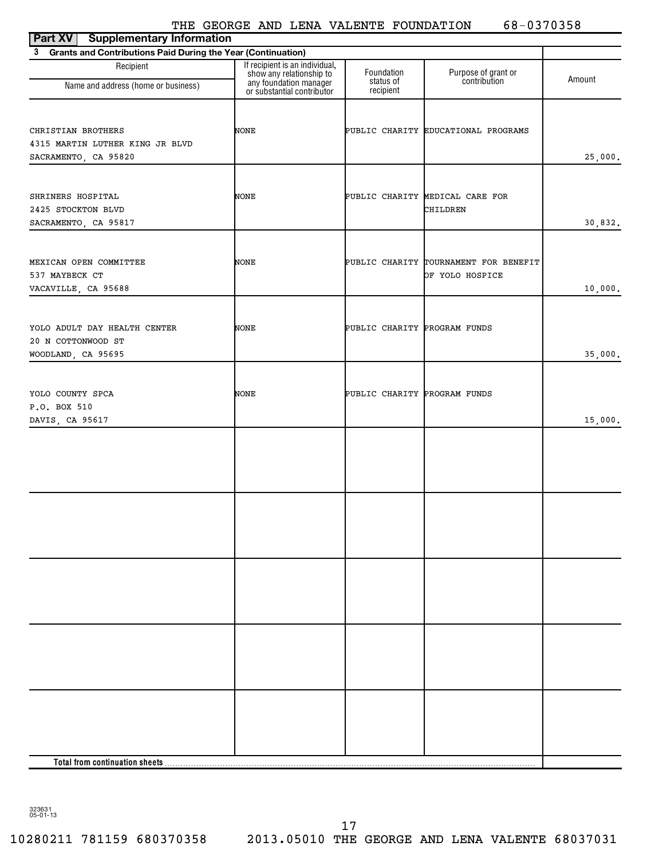|                                                                   | THE GEORGE AND LENA VALENTE FOUNDATION                     |                              | 68-0370358                            |         |
|-------------------------------------------------------------------|------------------------------------------------------------|------------------------------|---------------------------------------|---------|
| <b>Part XV</b><br><b>Supplementary Information</b>                |                                                            |                              |                                       |         |
| Grants and Contributions Paid During the Year (Continuation)<br>3 |                                                            |                              |                                       |         |
| Recipient                                                         | If recipient is an individual,<br>show any relationship to | Foundation                   |                                       |         |
| Name and address (home or business)                               | any foundation manager<br>or substantial contributor       | status of<br>recipient       | Purpose of grant or<br>contribution   | Amount  |
|                                                                   |                                                            |                              |                                       |         |
| CHRISTIAN BROTHERS                                                | <b>NONE</b>                                                |                              | PUBLIC CHARITY EDUCATIONAL PROGRAMS   |         |
| 4315 MARTIN LUTHER KING JR BLVD                                   |                                                            |                              |                                       |         |
| SACRAMENTO, CA 95820                                              |                                                            |                              |                                       | 25,000. |
|                                                                   |                                                            |                              |                                       |         |
| SHRINERS HOSPITAL                                                 | <b>NONE</b>                                                |                              | PUBLIC CHARITY MEDICAL CARE FOR       |         |
| 2425 STOCKTON BLVD                                                |                                                            |                              | CHILDREN                              |         |
| SACRAMENTO, CA 95817                                              |                                                            |                              |                                       | 30,832. |
|                                                                   |                                                            |                              |                                       |         |
| MEXICAN OPEN COMMITTEE                                            | <b>NONE</b>                                                |                              | PUBLIC CHARITY TOURNAMENT FOR BENEFIT |         |
| 537 MAYBECK CT                                                    |                                                            |                              | OF YOLO HOSPICE                       |         |
| VACAVILLE, CA 95688                                               |                                                            |                              |                                       | 10,000. |
|                                                                   |                                                            |                              |                                       |         |
| YOLO ADULT DAY HEALTH CENTER                                      | <b>NONE</b>                                                | PUBLIC CHARITY PROGRAM FUNDS |                                       |         |
| 20 N COTTONWOOD ST                                                |                                                            |                              |                                       |         |
| WOODLAND, CA 95695                                                |                                                            |                              |                                       | 35,000. |
|                                                                   |                                                            |                              |                                       |         |
| YOLO COUNTY SPCA                                                  | <b>NONE</b>                                                | PUBLIC CHARITY PROGRAM FUNDS |                                       |         |
| P.O. BOX 510                                                      |                                                            |                              |                                       |         |

| MEXICAN OPEN COMMITTEE       | <b>NONE</b> |                              | PUBLIC CHARITY TOURNAMENT FOR BENEFIT |         |
|------------------------------|-------------|------------------------------|---------------------------------------|---------|
| 537 MAYBECK CT               |             |                              | OF YOLO HOSPICE                       |         |
| VACAVILLE, CA 95688          |             |                              |                                       | 10,000. |
|                              |             |                              |                                       |         |
|                              |             |                              |                                       |         |
| YOLO ADULT DAY HEALTH CENTER | NONE        | PUBLIC CHARITY PROGRAM FUNDS |                                       |         |
| 20 N COTTONWOOD ST           |             |                              |                                       |         |
| WOODLAND, CA 95695           |             |                              |                                       | 35,000. |
|                              |             |                              |                                       |         |
|                              |             |                              |                                       |         |
| YOLO COUNTY SPCA             | <b>NONE</b> | PUBLIC CHARITY PROGRAM FUNDS |                                       |         |
| P.O. BOX 510                 |             |                              |                                       |         |
| DAVIS, CA 95617              |             |                              |                                       | 15,000. |
|                              |             |                              |                                       |         |
|                              |             |                              |                                       |         |
|                              |             |                              |                                       |         |
|                              |             |                              |                                       |         |
|                              |             |                              |                                       |         |
|                              |             |                              |                                       |         |
|                              |             |                              |                                       |         |
|                              |             |                              |                                       |         |
|                              |             |                              |                                       |         |
|                              |             |                              |                                       |         |
|                              |             |                              |                                       |         |
|                              |             |                              |                                       |         |
|                              |             |                              |                                       |         |
|                              |             |                              |                                       |         |
|                              |             |                              |                                       |         |
|                              |             |                              |                                       |         |
|                              |             |                              |                                       |         |
|                              |             |                              |                                       |         |
|                              |             |                              |                                       |         |
|                              |             |                              |                                       |         |
|                              |             |                              |                                       |         |
|                              |             |                              |                                       |         |
|                              |             |                              |                                       |         |
|                              |             |                              |                                       |         |
|                              |             |                              |                                       |         |
|                              |             |                              |                                       |         |

323631 05-01-13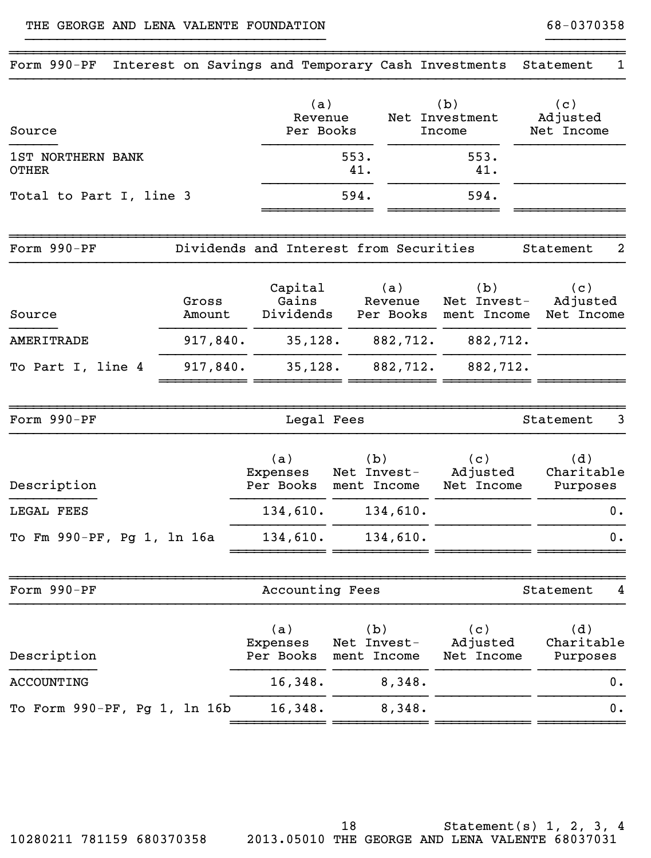## THE GEORGE AND LENA VALENTE FOUNDATION 68-0370358

| Form 990-PF                       | Interest on Savings and Temporary Cash Investments |                                        |                                   |                             |                                   | Statement<br>1                |
|-----------------------------------|----------------------------------------------------|----------------------------------------|-----------------------------------|-----------------------------|-----------------------------------|-------------------------------|
| Source                            |                                                    | (a)<br>Revenue<br>Per Books            |                                   |                             | (b)<br>Net Investment<br>Income   | (c)<br>Adjusted<br>Net Income |
| 1ST NORTHERN BANK<br><b>OTHER</b> |                                                    |                                        | 553.<br>41.                       |                             | 553.<br>41.                       |                               |
| Total to Part I, line 3           |                                                    |                                        | 594.                              |                             | 594.                              |                               |
| Form 990-PF                       |                                                    | Dividends and Interest from Securities |                                   |                             |                                   | $\overline{a}$<br>Statement   |
| Source                            | Gross<br>Amount                                    | Capital<br>Gains<br>Dividends          |                                   | (a)<br>Revenue<br>Per Books | (b)<br>Net Invest-<br>ment Income | (c)<br>Adjusted<br>Net Income |
| <b>AMERITRADE</b>                 | 917,840.                                           | 35,128.                                |                                   | 882,712.                    | 882,712.                          |                               |
| To Part I, line 4                 | 917,840.                                           | 35,128.                                |                                   | 882,712.                    | 882,712.                          |                               |
| Form 990-PF                       |                                                    | Legal Fees                             |                                   |                             |                                   | 3<br>Statement                |
| Description                       |                                                    | (a)<br>Expenses<br>Per Books           | (b)<br>Net Invest-<br>ment Income |                             | (c)<br>Adjusted<br>Net Income     | (d)<br>Charitable<br>Purposes |
| LEGAL FEES                        |                                                    | 134,610.                               |                                   | 134,610.                    |                                   | 0.                            |
| To Fm 990-PF, Pg 1, 1n 16a        |                                                    | 134,610.                               |                                   | 134,610.                    |                                   | 0.                            |
| Form 990-PF                       |                                                    | Accounting Fees                        |                                   |                             |                                   | Statement<br>4                |
| Description                       |                                                    | (a)<br>Expenses<br>Per Books           | (b)<br>Net Invest-<br>ment Income |                             | (c)<br>Adjusted<br>Net Income     | (d)<br>Charitable<br>Purposes |
| ACCOUNTING                        |                                                    | 16,348.                                |                                   | 8,348.                      |                                   | 0.                            |
| To Form 990-PF, Pg 1, 1n 16b      |                                                    | 16,348.                                |                                   | 8,348.                      |                                   | 0.                            |
|                                   |                                                    |                                        |                                   |                             |                                   |                               |

}}}}}}}}}}}}}}}}}}}}}}}}}}}}}}}}}}}}}} }}}}}}}}}}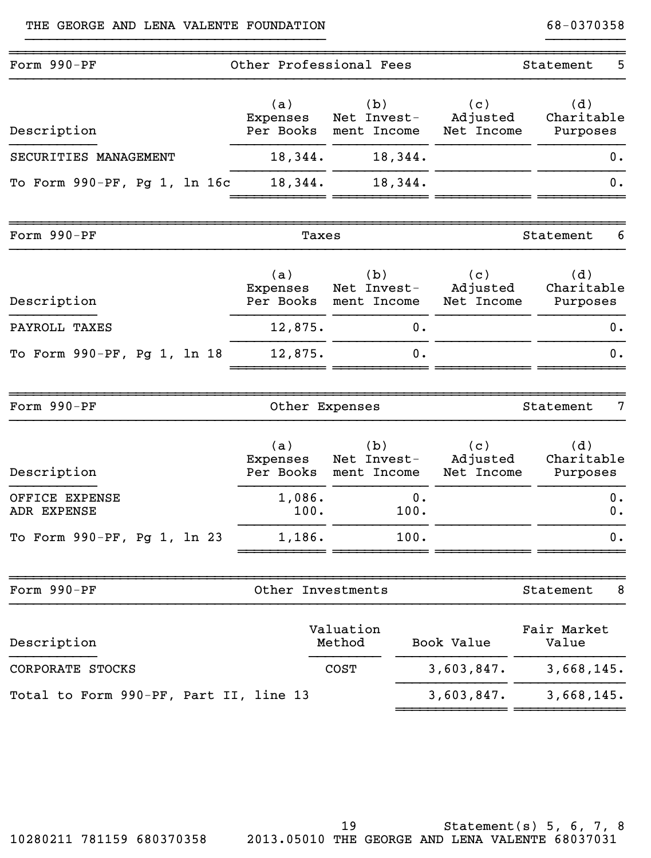| Form 990-PF                            | Other Professional Fees      |                                             |                               | Statement                     | 5              |
|----------------------------------------|------------------------------|---------------------------------------------|-------------------------------|-------------------------------|----------------|
| Description                            | (a)<br>Expenses              | (b)<br>Net Invest-<br>Per Books ment Income | (c)<br>Adjusted<br>Net Income | (d)<br>Charitable<br>Purposes |                |
| SECURITIES MANAGEMENT                  | 18,344.                      | 18,344.                                     |                               |                               | 0.             |
| To Form 990-PF, Pg 1, 1n 16c           | 18,344.                      | 18,344.                                     |                               |                               | 0.             |
| Form 990-PF                            | Taxes                        |                                             |                               | Statement                     | 6              |
| Description                            | (a)<br>Expenses              | (b)<br>Net Invest-<br>Per Books ment Income | (c)<br>Adjusted<br>Net Income | (d)<br>Charitable<br>Purposes |                |
| PAYROLL TAXES                          | 12,875.                      | 0.                                          |                               |                               | 0.             |
| To Form 990-PF, Pg 1, 1n 18            | 12,875.                      | 0.                                          |                               |                               | 0.             |
| Form 990-PF                            | Other Expenses               |                                             |                               | Statement                     | 7              |
| Description                            | (a)<br>Expenses<br>Per Books | (b)<br>Net Invest-<br>ment Income           | (c)<br>Adjusted<br>Net Income | (d)<br>Charitable<br>Purposes |                |
| OFFICE EXPENSE<br>ADR EXPENSE          | 1,086.<br>100.               | 0.<br>100.                                  |                               |                               | $0$ .<br>$0$ . |
| To Form 990-PF, Pg 1, 1n 23            | 1,186.                       | 100.                                        |                               |                               | $0$ .          |
| Form 990-PF                            | Other Investments            |                                             |                               | Statement                     | 8              |
| Description                            |                              | Valuation<br>Method                         | Book Value                    | Fair Market<br>Value          |                |
| CORPORATE STOCKS                       |                              | <b>COST</b>                                 | 3,603,847.                    | 3,668,145.                    |                |
| Total to Form 990-PF, Part II, line 13 |                              |                                             | 3,603,847.                    | 3,668,145.                    |                |

}}}}}}}}}}}}}}}}}}}}}}}}}}}}}}}}}}}}}} }}}}}}}}}}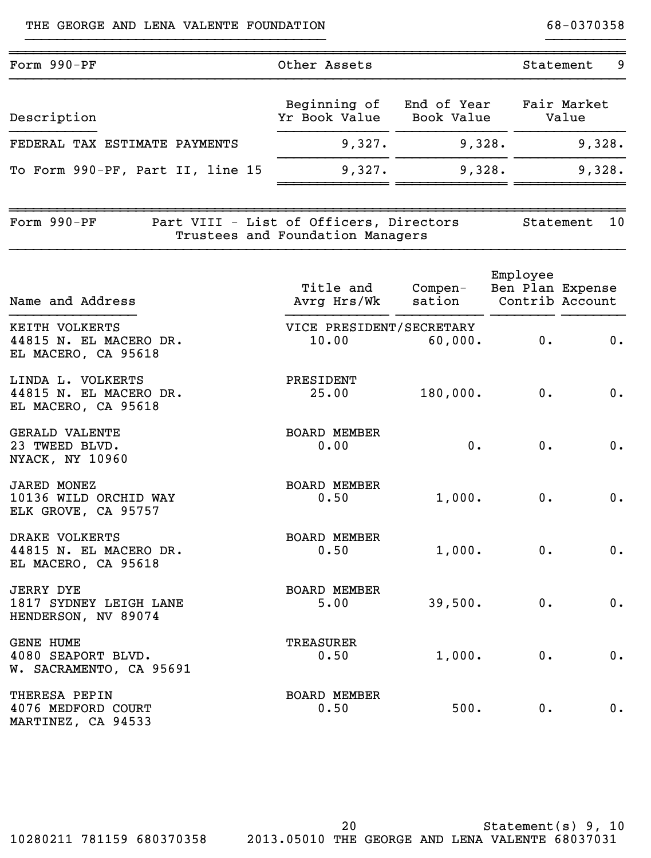| Form 990-PF                                                        | Other Assets                                                                |                   |                              | 9<br>Statement       |
|--------------------------------------------------------------------|-----------------------------------------------------------------------------|-------------------|------------------------------|----------------------|
| Description                                                        | Beginning of<br>Yr Book Value Book Value                                    | End of Year       |                              | Fair Market<br>Value |
| FEDERAL TAX ESTIMATE PAYMENTS                                      | 9,327.                                                                      | 9,328.            |                              | 9,328.               |
| To Form 990-PF, Part II, line 15                                   | 9,327.                                                                      | 9,328.            |                              | 9,328.               |
| Form 990-PF                                                        | Part VIII - List of Officers, Directors<br>Trustees and Foundation Managers |                   |                              | 10<br>Statement      |
| Name and Address                                                   | Title and<br>Avrg Hrs/Wk                                                    | Compen-<br>sation | Employee<br>Ben Plan Expense | Contrib Account      |
| KEITH VOLKERTS<br>44815 N. EL MACERO DR.<br>EL MACERO, CA 95618    | VICE PRESIDENT/SECRETARY<br>10.00                                           | 60,000.           | 0.                           | 0.                   |
| LINDA L. VOLKERTS<br>44815 N. EL MACERO DR.<br>EL MACERO, CA 95618 | PRESIDENT<br>25.00                                                          | 180,000.          | 0.                           | 0.                   |
| <b>GERALD VALENTE</b><br>23 TWEED BLVD.<br>NYACK, NY 10960         | <b>BOARD MEMBER</b><br>0.00                                                 | 0.                | 0.                           | 0.                   |
| <b>JARED MONEZ</b><br>10136 WILD ORCHID WAY<br>ELK GROVE, CA 95757 | <b>BOARD MEMBER</b><br>0.50                                                 | 1,000.            | 0.                           | 0.                   |
| DRAKE VOLKERTS<br>44815 N. EL MACERO DR.<br>EL MACERO, CA 95618    | <b>BOARD MEMBER</b><br>0.50                                                 | 1,000.            | 0.                           | 0.                   |
| <b>JERRY DYE</b><br>1817 SYDNEY LEIGH LANE<br>HENDERSON, NV 89074  | <b>BOARD MEMBER</b><br>5.00                                                 | 39,500.           | 0.                           | 0.                   |
| <b>GENE HUME</b><br>4080 SEAPORT BLVD.<br>W. SACRAMENTO, CA 95691  | TREASURER<br>0.50                                                           | 1,000.            | $0$ .                        | 0.                   |
| THERESA PEPIN<br>4076 MEDFORD COURT<br>MARTINEZ, CA 94533          | <b>BOARD MEMBER</b><br>0.50                                                 | 500.              | 0.                           | 0.                   |

Statement(s) 9, 10 2010280211 781159 680370358 2013.05010 THE GEORGE AND LENA VALENTE 68037031